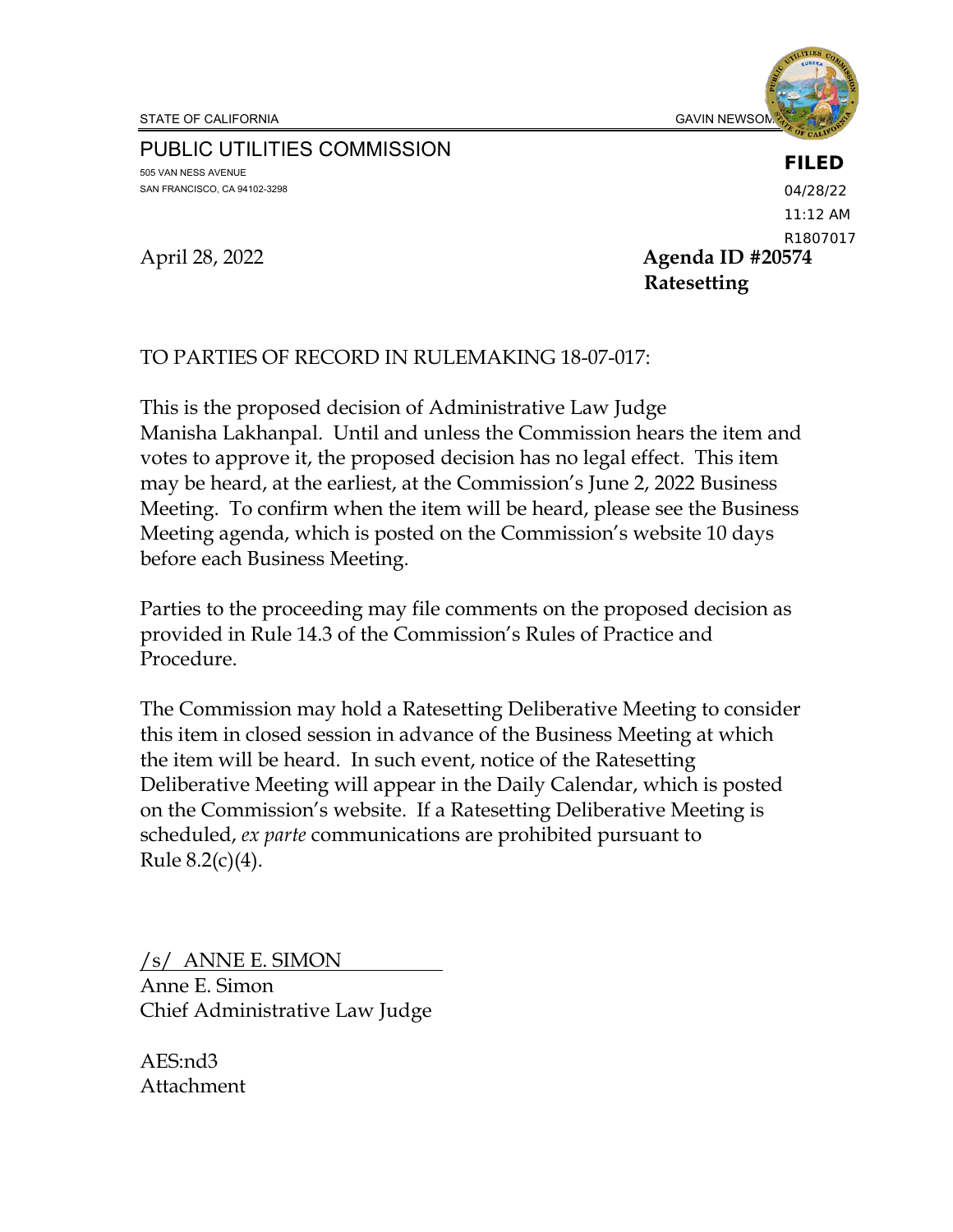### **FILED**

PUBLIC UTILITIES COMMISSION 505 VAN NESS AVENUE SAN FRANCISCO, CA 94102-3298

April 28, 2022 **Agenda ID #20574 Ratesetting** 04/28/22 11:12 AM R1807017

## TO PARTIES OF RECORD IN RULEMAKING 18-07-017:

This is the proposed decision of Administrative Law Judge Manisha Lakhanpal. Until and unless the Commission hears the item and votes to approve it, the proposed decision has no legal effect. This item may be heard, at the earliest, at the Commission's June 2, 2022 Business Meeting. To confirm when the item will be heard, please see the Business Meeting agenda, which is posted on the Commission's website 10 days before each Business Meeting.

Parties to the proceeding may file comments on the proposed decision as provided in Rule 14.3 of the Commission's Rules of Practice and Procedure.

The Commission may hold a Ratesetting Deliberative Meeting to consider this item in closed session in advance of the Business Meeting at which the item will be heard. In such event, notice of the Ratesetting Deliberative Meeting will appear in the Daily Calendar, which is posted on the Commission's website. If a Ratesetting Deliberative Meeting is scheduled, *ex parte* communications are prohibited pursuant to Rule 8.2(c)(4).

/s/ ANNE E. SIMON Anne E. Simon Chief Administrative Law Judge

AES:nd3 Attachment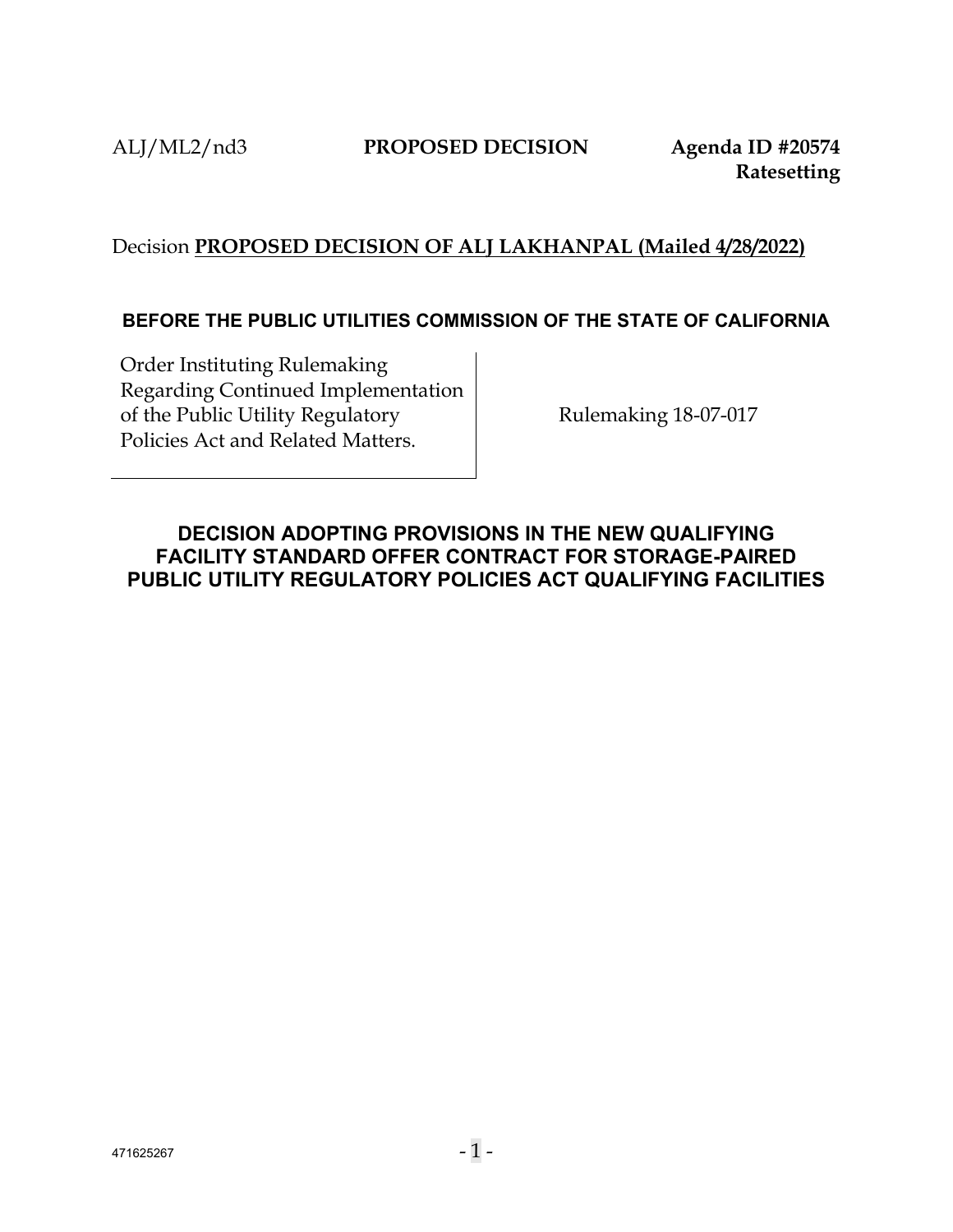# Decision **PROPOSED DECISION OF ALJ LAKHANPAL (Mailed 4/28/2022)**

## **BEFORE THE PUBLIC UTILITIES COMMISSION OF THE STATE OF CALIFORNIA**

Order Instituting Rulemaking Regarding Continued Implementation of the Public Utility Regulatory Policies Act and Related Matters.

Rulemaking 18-07-017

# <span id="page-1-0"></span>**DECISION ADOPTING PROVISIONS IN THE NEW QUALIFYING FACILITY STANDARD OFFER CONTRACT FOR STORAGE-PAIRED PUBLIC UTILITY REGULATORY POLICIES ACT QUALIFYING FACILITIES**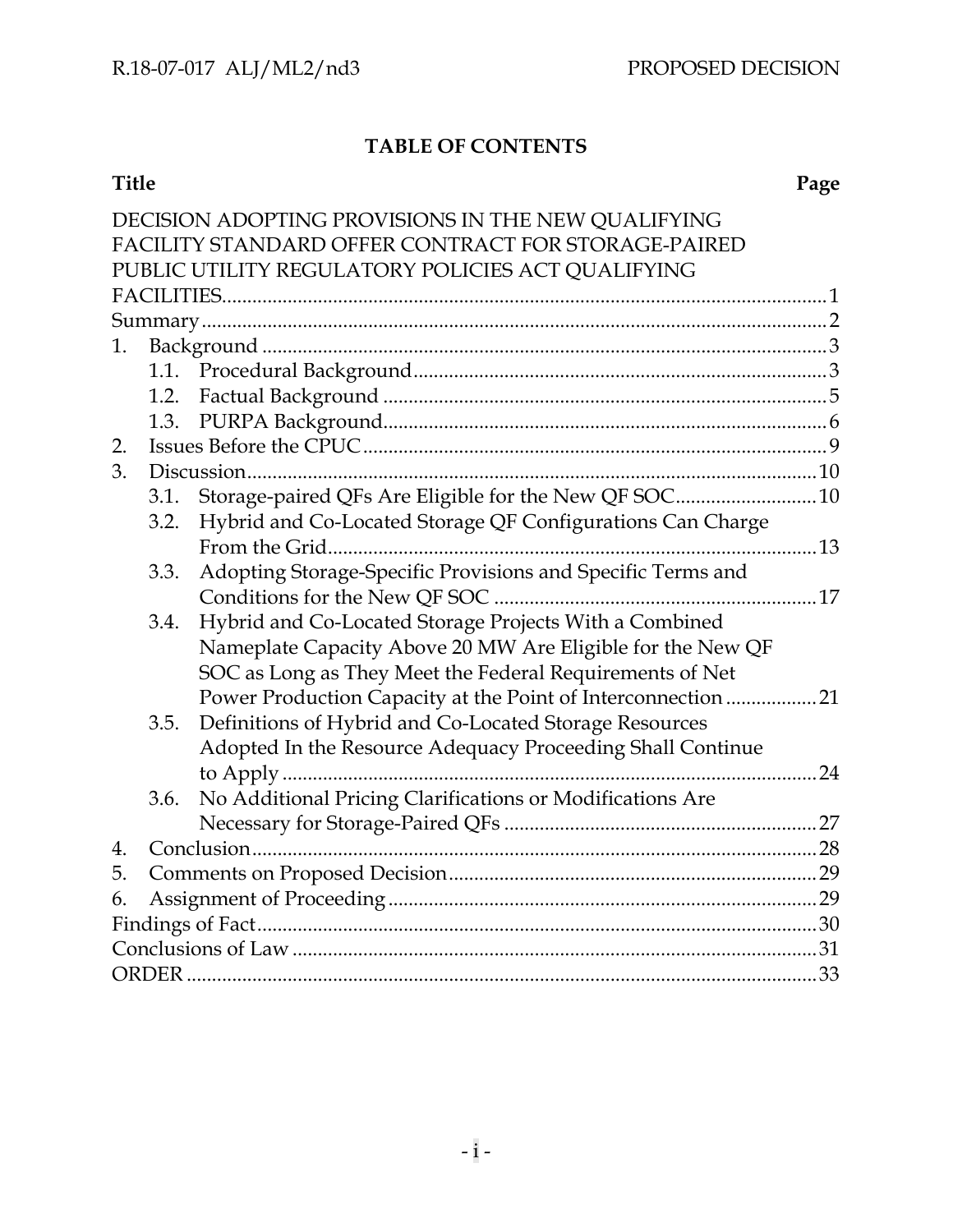# **TABLE OF CONTENTS**

### **Title Page**

|    |      | DECISION ADOPTING PROVISIONS IN THE NEW QUALIFYING            |    |  |
|----|------|---------------------------------------------------------------|----|--|
|    |      | FACILITY STANDARD OFFER CONTRACT FOR STORAGE-PAIRED           |    |  |
|    |      | PUBLIC UTILITY REGULATORY POLICIES ACT QUALIFYING             |    |  |
|    |      |                                                               |    |  |
|    |      |                                                               |    |  |
| 1. |      |                                                               |    |  |
|    |      |                                                               |    |  |
|    | 1.2. |                                                               |    |  |
|    | 1.3. |                                                               |    |  |
| 2. |      |                                                               |    |  |
| 3. |      |                                                               |    |  |
|    | 3.1. | Storage-paired QFs Are Eligible for the New QF SOC 10         |    |  |
|    | 3.2. | Hybrid and Co-Located Storage QF Configurations Can Charge    |    |  |
|    |      | From the Grid.                                                |    |  |
|    | 3.3. | Adopting Storage-Specific Provisions and Specific Terms and   |    |  |
|    |      |                                                               |    |  |
|    | 3.4. | Hybrid and Co-Located Storage Projects With a Combined        |    |  |
|    |      | Nameplate Capacity Above 20 MW Are Eligible for the New QF    |    |  |
|    |      | SOC as Long as They Meet the Federal Requirements of Net      |    |  |
|    |      | Power Production Capacity at the Point of Interconnection  21 |    |  |
|    | 3.5. | Definitions of Hybrid and Co-Located Storage Resources        |    |  |
|    |      | Adopted In the Resource Adequacy Proceeding Shall Continue    |    |  |
|    |      |                                                               | 24 |  |
|    | 3.6. | No Additional Pricing Clarifications or Modifications Are     |    |  |
|    |      |                                                               |    |  |
| 4. |      |                                                               |    |  |
| 5. |      |                                                               |    |  |
| 6. |      |                                                               |    |  |
|    |      |                                                               |    |  |
|    |      |                                                               |    |  |
|    |      |                                                               |    |  |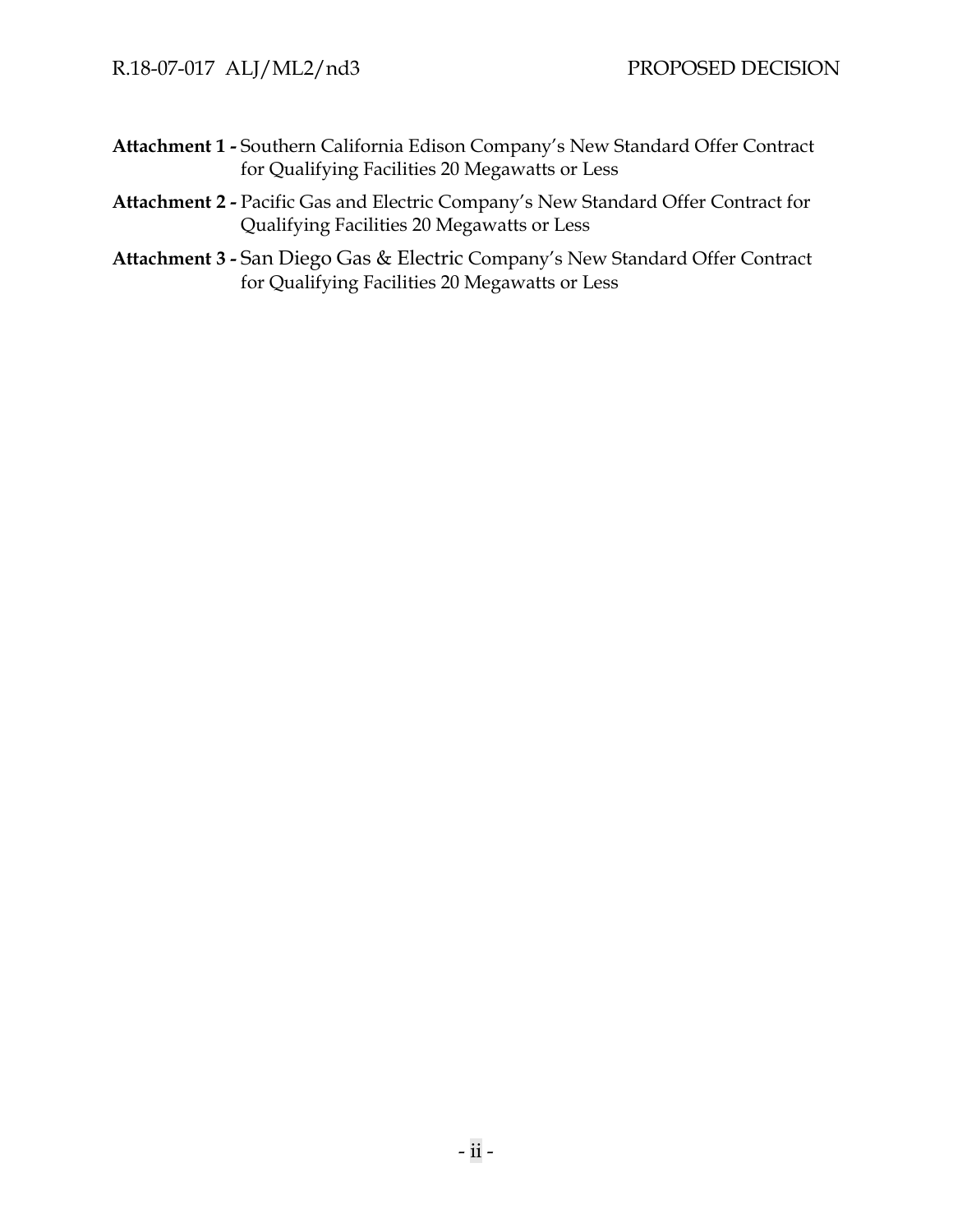- **Attachment 1 -** Southern California Edison Company's New Standard Offer Contract for Qualifying Facilities 20 Megawatts or Less
- **Attachment 2 -** Pacific Gas and Electric Company's New Standard Offer Contract for Qualifying Facilities 20 Megawatts or Less
- **Attachment 3 -** San Diego Gas & Electric Company's New Standard Offer Contract for Qualifying Facilities 20 Megawatts or Less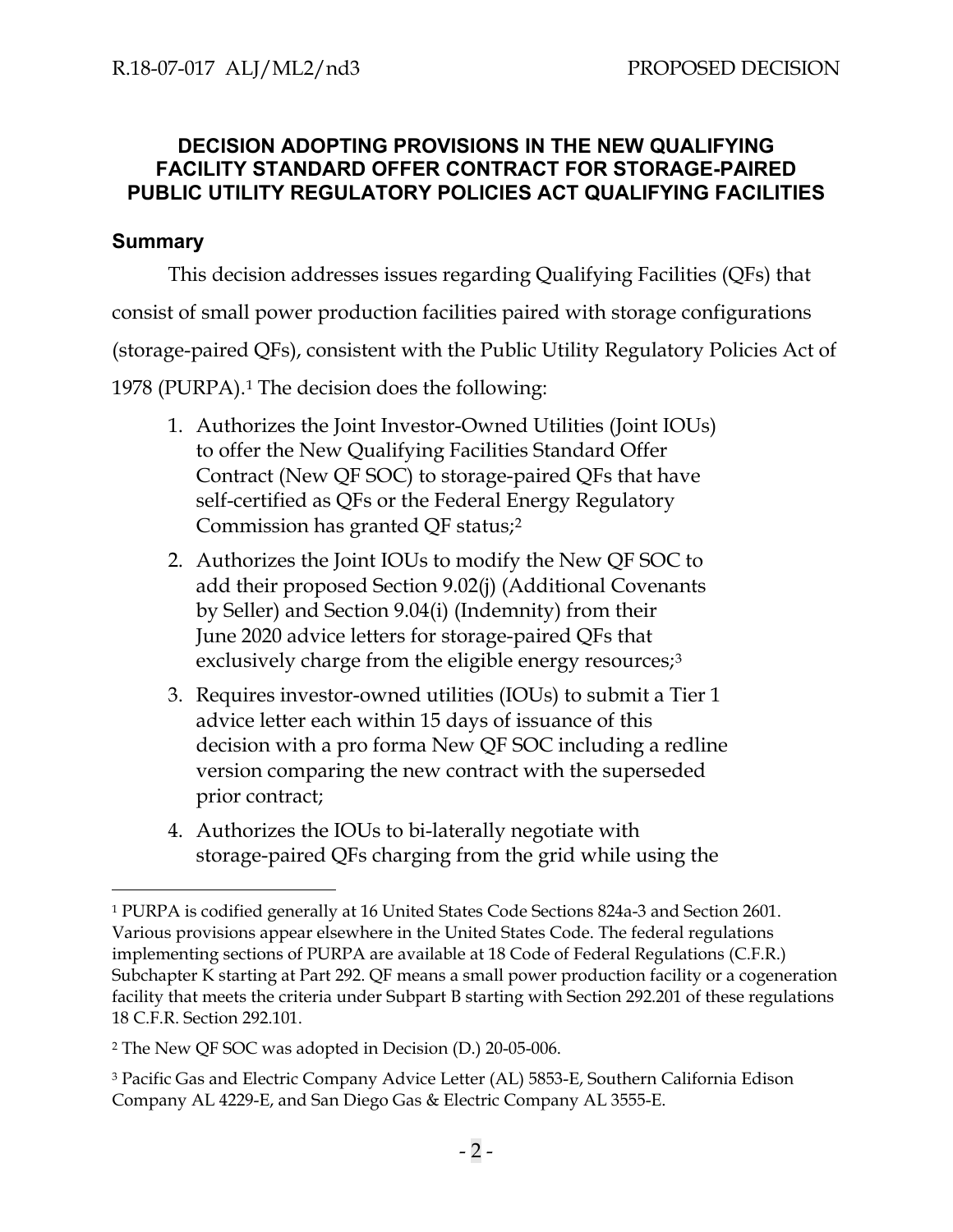# **DECISION ADOPTING PROVISIONS IN THE NEW QUALIFYING FACILITY STANDARD OFFER CONTRACT FOR STORAGE-PAIRED PUBLIC UTILITY REGULATORY POLICIES ACT QUALIFYING FACILITIES**

# <span id="page-4-0"></span>**Summary**

This decision addresses issues regarding Qualifying Facilities (QFs) that

consist of small power production facilities paired with storage configurations

(storage-paired QFs), consistent with the Public Utility Regulatory Policies Act of

1978 (PURPA).[1](#page-4-1) The decision does the following:

- 1. Authorizes the Joint Investor-Owned Utilities (Joint IOUs) to offer the New Qualifying Facilities Standard Offer Contract (New QF SOC) to storage-paired QFs that have self-certified as QFs or the Federal Energy Regulatory Commission has granted QF status;[2](#page-4-2)
- 2. Authorizes the Joint IOUs to modify the New QF SOC to add their proposed Section 9.02(j) (Additional Covenants by Seller) and Section 9.04(i) (Indemnity) from their June 2020 advice letters for storage-paired QFs that exclusively charge from the eligible energy resources;<sup>[3](#page-4-3)</sup>
- 3. Requires investor-owned utilities (IOUs) to submit a Tier 1 advice letter each within 15 days of issuance of this decision with a pro forma New QF SOC including a redline version comparing the new contract with the superseded prior contract;
- 4. Authorizes the IOUs to bi-laterally negotiate with storage-paired QFs charging from the grid while using the

<span id="page-4-1"></span><sup>1</sup> PURPA is codified generally at 16 United States Code Sections 824a-3 and Section 2601. Various provisions appear elsewhere in the United States Code. The federal regulations implementing sections of PURPA are available at 18 Code of Federal Regulations (C.F.R.) Subchapter K starting at Part 292. QF means a small power production facility or a cogeneration facility that meets the criteria under Subpart B starting with Section 292.201 of these regulations 18 C.F.R. Section 292.101.

<span id="page-4-2"></span><sup>2</sup> The New QF SOC was adopted in Decision (D.) 20-05-006.

<span id="page-4-3"></span><sup>3</sup> Pacific Gas and Electric Company Advice Letter (AL) 5853-E, Southern California Edison Company AL 4229-E, and San Diego Gas & Electric Company AL 3555-E.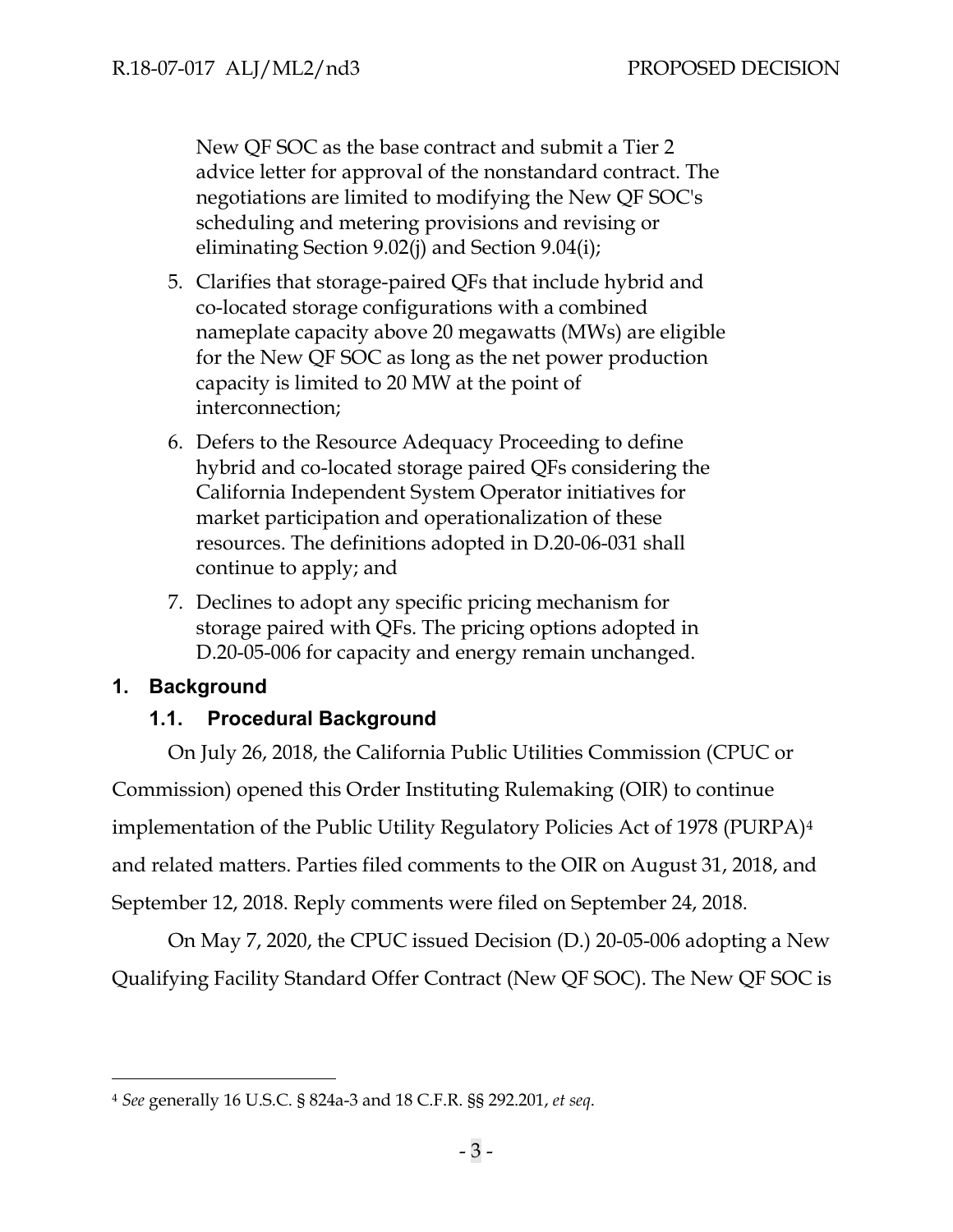New QF SOC as the base contract and submit a Tier 2 advice letter for approval of the nonstandard contract. The negotiations are limited to modifying the New QF SOC's scheduling and metering provisions and revising or eliminating Section 9.02(j) and Section 9.04(i);

- 5. Clarifies that storage-paired QFs that include hybrid and co-located storage configurations with a combined nameplate capacity above 20 megawatts (MWs) are eligible for the New QF SOC as long as the net power production capacity is limited to 20 MW at the point of interconnection;
- 6. Defers to the Resource Adequacy Proceeding to define hybrid and co-located storage paired QFs considering the California Independent System Operator initiatives for market participation and operationalization of these resources. The definitions adopted in D.20-06-031 shall continue to apply; and
- 7. Declines to adopt any specific pricing mechanism for storage paired with QFs. The pricing options adopted in D.20-05-006 for capacity and energy remain unchanged.

## <span id="page-5-1"></span><span id="page-5-0"></span>**1. Background**

## **1.1. Procedural Background**

On July 26, 2018, the California Public Utilities Commission (CPUC or Commission) opened this Order Instituting Rulemaking (OIR) to continue implementation of the Public Utility Regulatory Policies Act of 1978 (PURPA)[4](#page-5-2) and related matters. Parties filed comments to the OIR on August 31, 2018, and September 12, 2018. Reply comments were filed on September 24, 2018.

On May 7, 2020, the CPUC issued Decision (D.) 20-05-006 adopting a New Qualifying Facility Standard Offer Contract (New QF SOC). The New QF SOC is

<span id="page-5-2"></span><sup>4</sup> *See* generally 16 U.S.C. § 824a-3 and 18 C.F.R. §§ 292.201, *et seq*.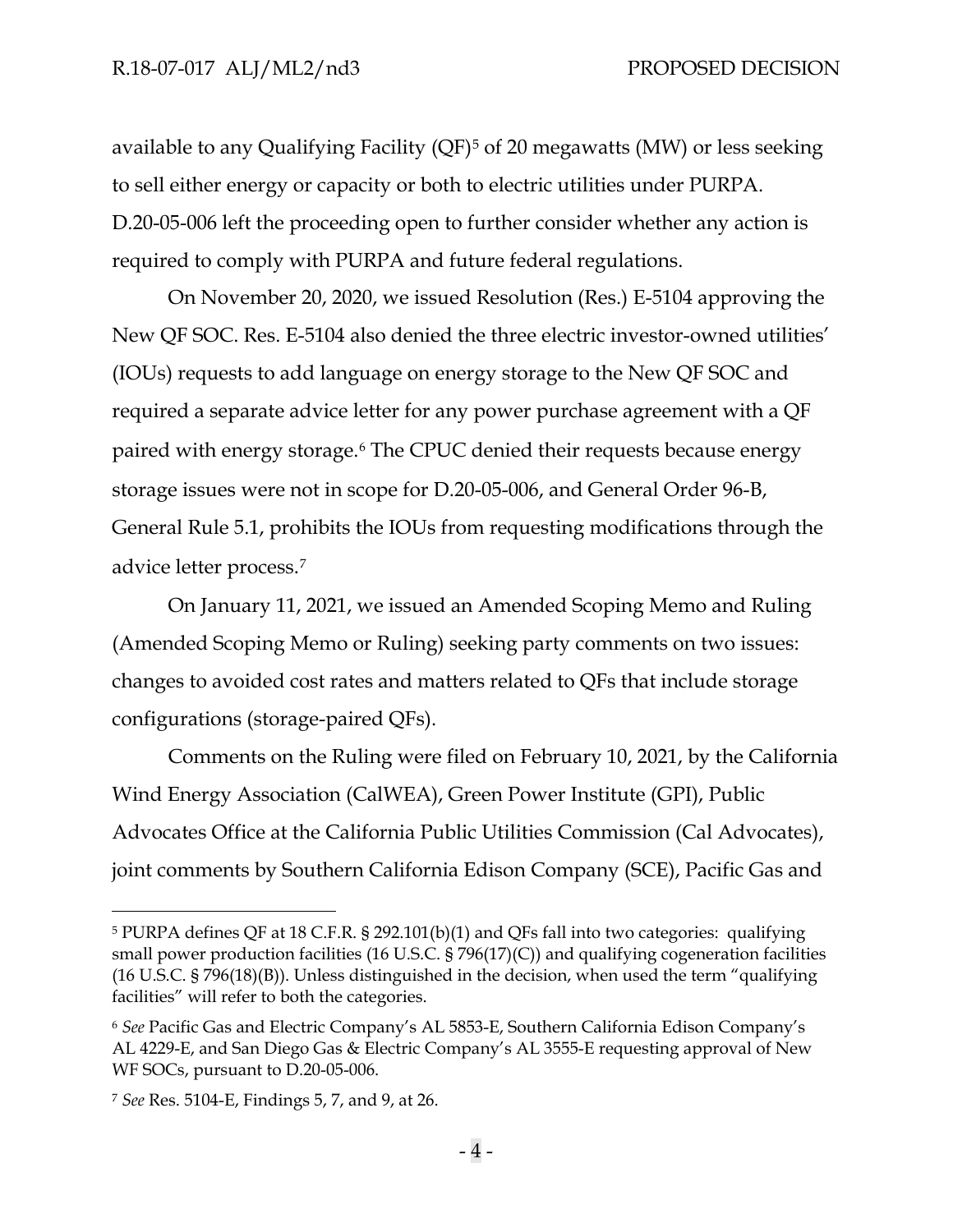available to any Qualifying Facility (QF)[5](#page-6-0) of 20 megawatts (MW) or less seeking to sell either energy or capacity or both to electric utilities under PURPA. D.20-05-006 left the proceeding open to further consider whether any action is required to comply with PURPA and future federal regulations.

On November 20, 2020, we issued Resolution (Res.) E-5104 approving the New QF SOC. Res. E-5104 also denied the three electric investor-owned utilities' (IOUs) requests to add language on energy storage to the New QF SOC and required a separate advice letter for any power purchase agreement with a QF paired with energy storage.[6](#page-6-1) The CPUC denied their requests because energy storage issues were not in scope for D.20-05-006, and General Order 96-B, General Rule 5.1, prohibits the IOUs from requesting modifications through the advice letter process.[7](#page-6-2)

On January 11, 2021, we issued an Amended Scoping Memo and Ruling (Amended Scoping Memo or Ruling) seeking party comments on two issues: changes to avoided cost rates and matters related to QFs that include storage configurations (storage-paired QFs).

Comments on the Ruling were filed on February 10, 2021, by the California Wind Energy Association (CalWEA), Green Power Institute (GPI), Public Advocates Office at the California Public Utilities Commission (Cal Advocates), joint comments by Southern California Edison Company (SCE), Pacific Gas and

<span id="page-6-0"></span><sup>5</sup> PURPA defines QF at 18 C.F.R. § 292.101(b)(1) and QFs fall into two categories: qualifying small power production facilities (16 U.S.C. § 796(17)(C)) and qualifying cogeneration facilities (16 U.S.C. § 796(18)(B)). Unless distinguished in the decision, when used the term "qualifying facilities" will refer to both the categories.

<span id="page-6-1"></span><sup>6</sup> *See* Pacific Gas and Electric Company's AL 5853-E, Southern California Edison Company's AL 4229-E, and San Diego Gas & Electric Company's AL 3555-E requesting approval of New WF SOCs, pursuant to D.20-05-006.

<span id="page-6-2"></span><sup>7</sup> *See* Res. 5104-E, Findings 5, 7, and 9, at 26.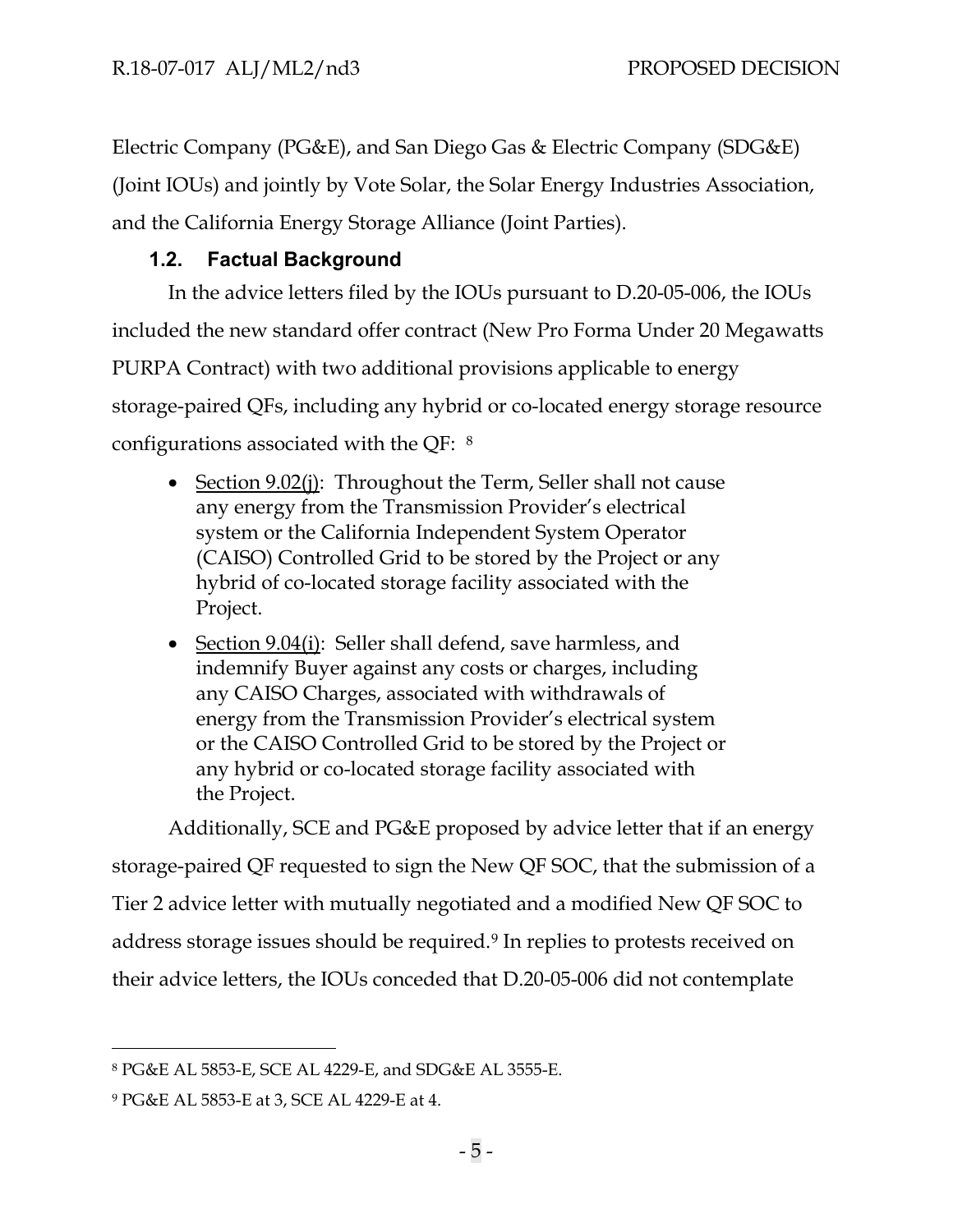Electric Company (PG&E), and San Diego Gas & Electric Company (SDG&E) (Joint IOUs) and jointly by Vote Solar, the Solar Energy Industries Association, and the California Energy Storage Alliance (Joint Parties).

# **1.2. Factual Background**

<span id="page-7-0"></span>In the advice letters filed by the IOUs pursuant to D.20-05-006, the IOUs included the new standard offer contract (New Pro Forma Under 20 Megawatts PURPA Contract) with two additional provisions applicable to energy storage-paired QFs, including any hybrid or co-located energy storage resource configurations associated with the QF: [8](#page-7-1)

- Section 9.02(j): Throughout the Term, Seller shall not cause any energy from the Transmission Provider's electrical system or the California Independent System Operator (CAISO) Controlled Grid to be stored by the Project or any hybrid of co-located storage facility associated with the Project.
- Section 9.04(i): Seller shall defend, save harmless, and indemnify Buyer against any costs or charges, including any CAISO Charges, associated with withdrawals of energy from the Transmission Provider's electrical system or the CAISO Controlled Grid to be stored by the Project or any hybrid or co-located storage facility associated with the Project.

Additionally, SCE and PG&E proposed by advice letter that if an energy storage-paired QF requested to sign the New QF SOC, that the submission of a Tier 2 advice letter with mutually negotiated and a modified New QF SOC to address storage issues should be required.[9](#page-7-2) In replies to protests received on their advice letters, the IOUs conceded that D.20-05-006 did not contemplate

<span id="page-7-1"></span><sup>8</sup> PG&E AL 5853-E, SCE AL 4229-E, and SDG&E AL 3555-E.

<span id="page-7-2"></span><sup>9</sup> PG&E AL 5853-E at 3, SCE AL 4229-E at 4.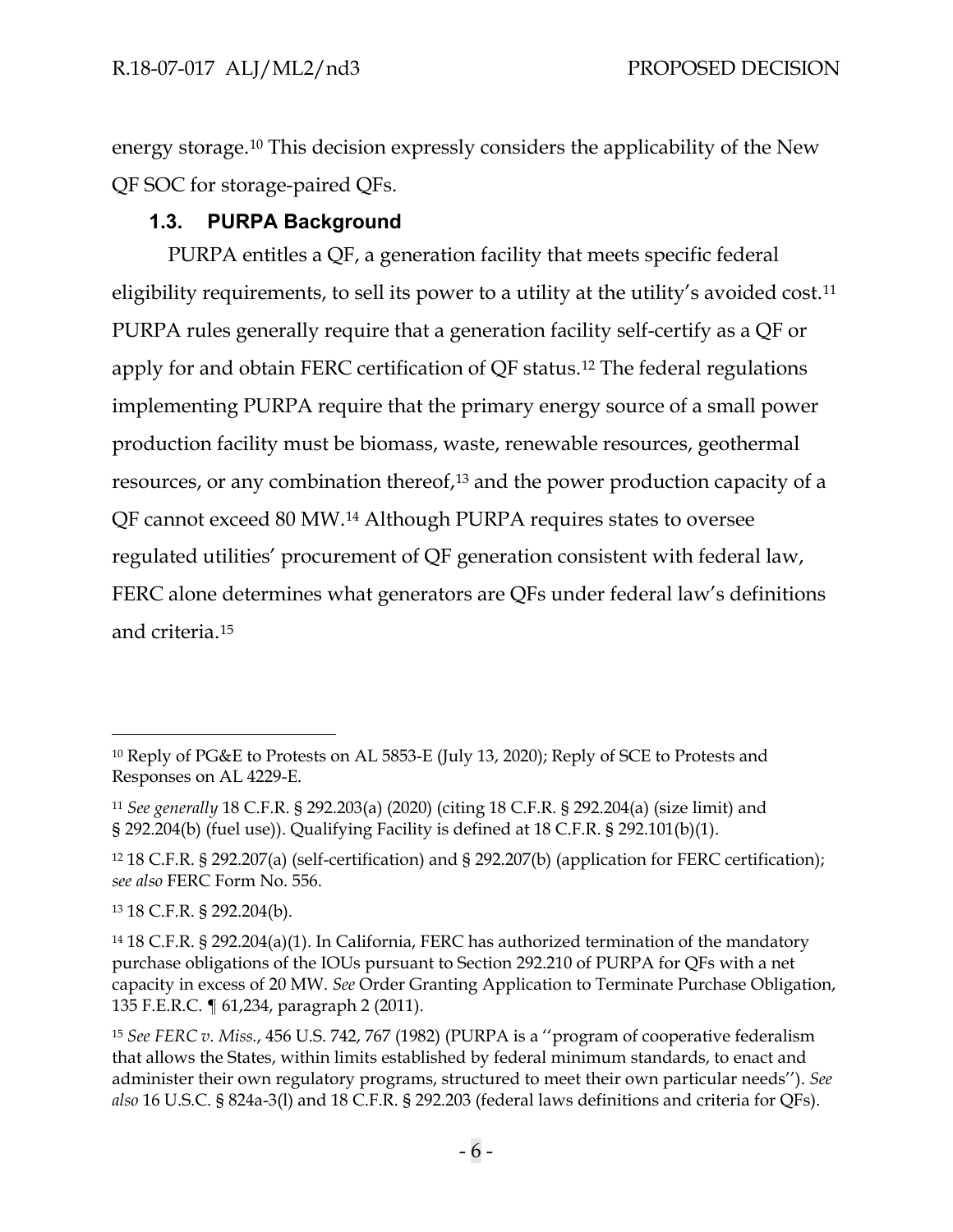energy storage.[10](#page-8-1) This decision expressly considers the applicability of the New QF SOC for storage-paired QFs.

# **1.3. PURPA Background**

<span id="page-8-0"></span>PURPA entitles a QF, a generation facility that meets specific federal eligibility requirements, to sell its power to a utility at the utility's avoided cost.<sup>[11](#page-8-2)</sup> PURPA rules generally require that a generation facility self-certify as a QF or apply for and obtain FERC certification of QF status.[12](#page-8-3) The federal regulations implementing PURPA require that the primary energy source of a small power production facility must be biomass, waste, renewable resources, geothermal resources, or any combination thereof,[13](#page-8-4) and the power production capacity of a QF cannot exceed 80 MW.[14](#page-8-5) Although PURPA requires states to oversee regulated utilities' procurement of QF generation consistent with federal law, FERC alone determines what generators are QFs under federal law's definitions and criteria.[15](#page-8-6)

<span id="page-8-1"></span><sup>10</sup> Reply of PG&E to Protests on AL 5853-E (July 13, 2020); Reply of SCE to Protests and Responses on AL 4229-E.

<span id="page-8-2"></span><sup>11</sup> *See generally* 18 C.F.R. § 292.203(a) (2020) (citing 18 C.F.R. § 292.204(a) (size limit) and § 292.204(b) (fuel use)). Qualifying Facility is defined at 18 C.F.R. § 292.101(b)(1).

<span id="page-8-3"></span><sup>12</sup> 18 C.F.R. § 292.207(a) (self-certification) and § 292.207(b) (application for FERC certification); *see also* FERC Form No. 556.

<span id="page-8-4"></span><sup>13</sup> 18 C.F.R. § 292.204(b).

<span id="page-8-5"></span><sup>14</sup> 18 C.F.R. § 292.204(a)(1). In California, FERC has authorized termination of the mandatory purchase obligations of the IOUs pursuant to Section 292.210 of PURPA for QFs with a net capacity in excess of 20 MW. *See* Order Granting Application to Terminate Purchase Obligation, 135 F.E.R.C. ¶ 61,234, paragraph 2 (2011).

<span id="page-8-6"></span><sup>15</sup> *See FERC v. Miss.*, 456 U.S. 742, 767 (1982) (PURPA is a ''program of cooperative federalism that allows the States, within limits established by federal minimum standards, to enact and administer their own regulatory programs, structured to meet their own particular needs''). *See also* 16 U.S.C. § 824a-3(l) and 18 C.F.R. § 292.203 (federal laws definitions and criteria for QFs).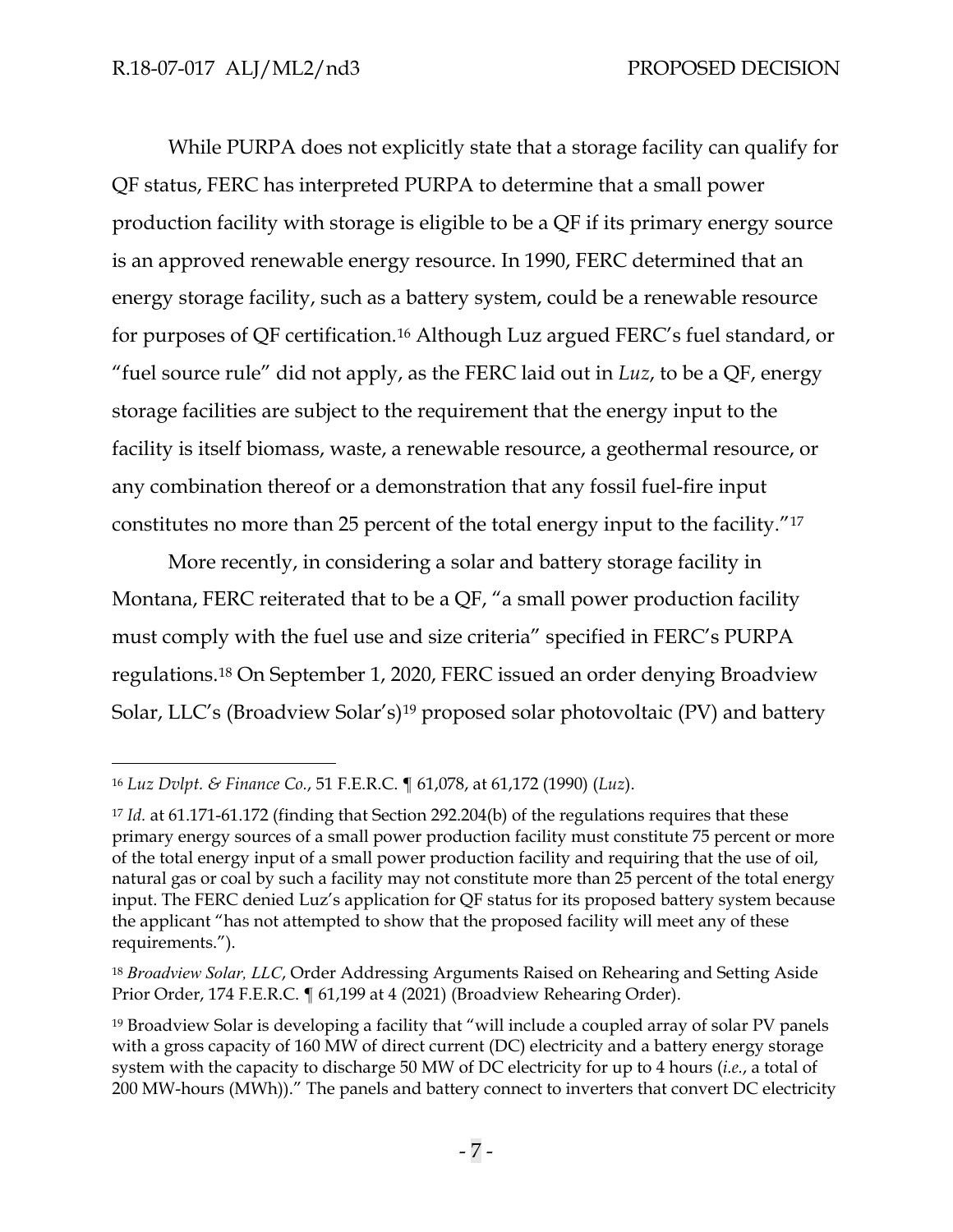While PURPA does not explicitly state that a storage facility can qualify for QF status, FERC has interpreted PURPA to determine that a small power production facility with storage is eligible to be a QF if its primary energy source is an approved renewable energy resource. In 1990, FERC determined that an energy storage facility, such as a battery system, could be a renewable resource for purposes of QF certification.[16](#page-9-0) Although Luz argued FERC's fuel standard, or "fuel source rule" did not apply, as the FERC laid out in *Luz*, to be a QF, energy storage facilities are subject to the requirement that the energy input to the facility is itself biomass, waste, a renewable resource, a geothermal resource, or any combination thereof or a demonstration that any fossil fuel-fire input constitutes no more than 25 percent of the total energy input to the facility."[17](#page-9-1) 

More recently, in considering a solar and battery storage facility in Montana, FERC reiterated that to be a QF, "a small power production facility must comply with the fuel use and size criteria" specified in FERC's PURPA regulations.[18](#page-9-2) On September 1, 2020, FERC issued an order denying Broadview Solar, LLC's (Broadview Solar's)[19](#page-9-3) proposed solar photovoltaic (PV) and battery

<span id="page-9-0"></span><sup>16</sup> *Luz Dvlpt. & Finance Co.*, 51 F.E.R.C. ¶ 61,078, at 61,172 (1990) (*Luz*).

<span id="page-9-1"></span><sup>17</sup> *Id.* at 61.171-61.172 (finding that Section 292.204(b) of the regulations requires that these primary energy sources of a small power production facility must constitute 75 percent or more of the total energy input of a small power production facility and requiring that the use of oil, natural gas or coal by such a facility may not constitute more than 25 percent of the total energy input. The FERC denied Luz's application for QF status for its proposed battery system because the applicant "has not attempted to show that the proposed facility will meet any of these requirements.").

<span id="page-9-2"></span><sup>18</sup> *Broadview Solar, LLC*, Order Addressing Arguments Raised on Rehearing and Setting Aside Prior Order, 174 F.E.R.C. ¶ 61,199 at 4 (2021) (Broadview Rehearing Order).

<span id="page-9-3"></span><sup>&</sup>lt;sup>19</sup> Broadview Solar is developing a facility that "will include a coupled array of solar PV panels with a gross capacity of 160 MW of direct current (DC) electricity and a battery energy storage system with the capacity to discharge 50 MW of DC electricity for up to 4 hours (*i.e.*, a total of 200 MW-hours (MWh))." The panels and battery connect to inverters that convert DC electricity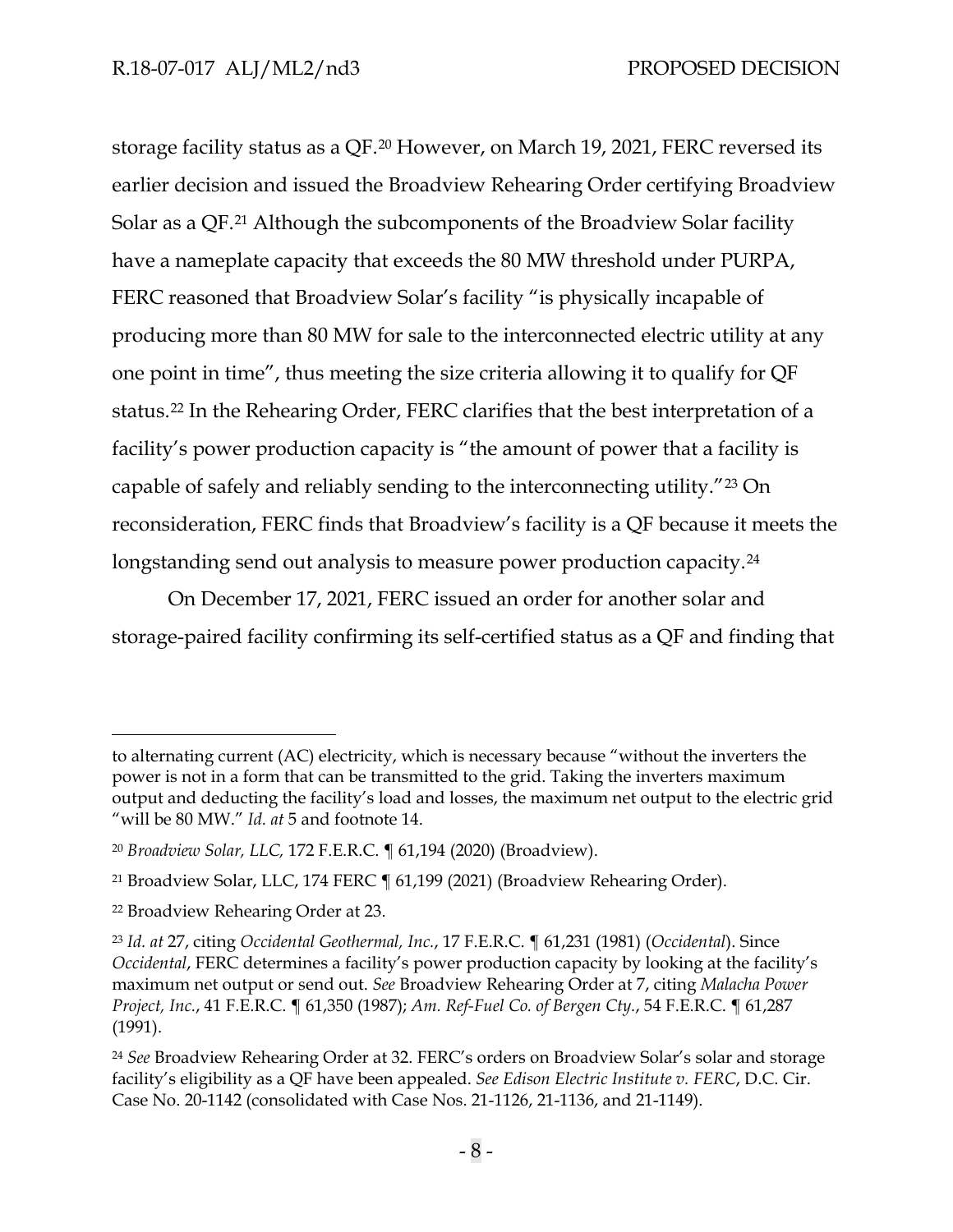storage facility status as a QF.[20](#page-10-0) However, on March 19, 2021, FERC reversed its earlier decision and issued the Broadview Rehearing Order certifying Broadview Solar as a QF.[21](#page-10-1) Although the subcomponents of the Broadview Solar facility have a nameplate capacity that exceeds the 80 MW threshold under PURPA, FERC reasoned that Broadview Solar's facility "is physically incapable of producing more than 80 MW for sale to the interconnected electric utility at any one point in time", thus meeting the size criteria allowing it to qualify for QF status.[22](#page-10-2) In the Rehearing Order, FERC clarifies that the best interpretation of a facility's power production capacity is "the amount of power that a facility is capable of safely and reliably sending to the interconnecting utility."[23](#page-10-3) On reconsideration, FERC finds that Broadview's facility is a QF because it meets the longstanding send out analysis to measure power production capacity.<sup>[24](#page-10-4)</sup>

On December 17, 2021, FERC issued an order for another solar and storage-paired facility confirming its self-certified status as a QF and finding that

to alternating current (AC) electricity, which is necessary because "without the inverters the power is not in a form that can be transmitted to the grid. Taking the inverters maximum output and deducting the facility's load and losses, the maximum net output to the electric grid "will be 80 MW." *Id. at* 5 and footnote 14.

<span id="page-10-0"></span><sup>20</sup> *Broadview Solar, LLC,* 172 F.E.R.C. ¶ 61,194 (2020) (Broadview).

<span id="page-10-1"></span><sup>21</sup> Broadview Solar, LLC, 174 FERC ¶ 61,199 (2021) (Broadview Rehearing Order).

<span id="page-10-2"></span><sup>22</sup> Broadview Rehearing Order at 23.

<span id="page-10-3"></span><sup>23</sup> *Id. at* 27, citing *Occidental Geothermal, Inc.*, 17 F.E.R.C. ¶ 61,231 (1981) (*Occidental*). Since *Occidental*, FERC determines a facility's power production capacity by looking at the facility's maximum net output or send out. *See* Broadview Rehearing Order at 7, citing *Malacha Power Project, Inc.*, 41 F.E.R.C. ¶ 61,350 (1987); *Am. Ref-Fuel Co. of Bergen Cty.*, 54 F.E.R.C. ¶ 61,287 (1991).

<span id="page-10-4"></span><sup>24</sup> *See* Broadview Rehearing Order at 32. FERC's orders on Broadview Solar's solar and storage facility's eligibility as a QF have been appealed. *See Edison Electric Institute v. FERC*, D.C. Cir. Case No. 20-1142 (consolidated with Case Nos. 21-1126, 21-1136, and 21-1149).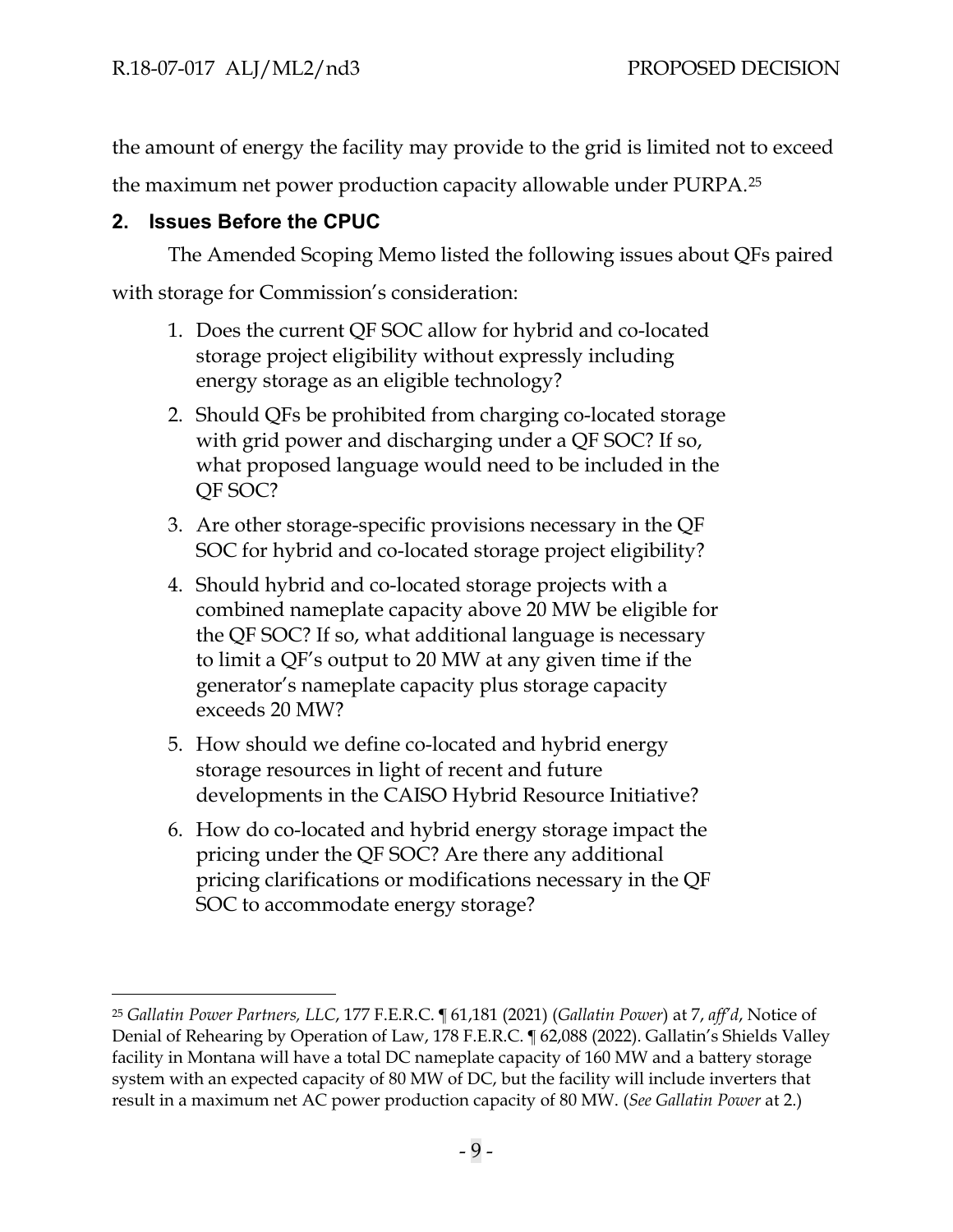the amount of energy the facility may provide to the grid is limited not to exceed

the maximum net power production capacity allowable under PURPA.[25](#page-11-1)

# <span id="page-11-0"></span>**2. Issues Before the CPUC**

The Amended Scoping Memo listed the following issues about QFs paired

with storage for Commission's consideration:

- 1. Does the current QF SOC allow for hybrid and co-located storage project eligibility without expressly including energy storage as an eligible technology?
- 2. Should QFs be prohibited from charging co-located storage with grid power and discharging under a QF SOC? If so, what proposed language would need to be included in the QF SOC?
- 3. Are other storage-specific provisions necessary in the QF SOC for hybrid and co-located storage project eligibility?
- 4. Should hybrid and co-located storage projects with a combined nameplate capacity above 20 MW be eligible for the QF SOC? If so, what additional language is necessary to limit a QF's output to 20 MW at any given time if the generator's nameplate capacity plus storage capacity exceeds 20 MW?
- 5. How should we define co-located and hybrid energy storage resources in light of recent and future developments in the CAISO Hybrid Resource Initiative?
- 6. How do co-located and hybrid energy storage impact the pricing under the QF SOC? Are there any additional pricing clarifications or modifications necessary in the QF SOC to accommodate energy storage?

<span id="page-11-1"></span><sup>25</sup> *Gallatin Power Partners, LLC*, 177 F.E.R.C. ¶ 61,181 (2021) (*Gallatin Power*) at 7, *aff'd*, Notice of Denial of Rehearing by Operation of Law, 178 F.E.R.C. ¶ 62,088 (2022). Gallatin's Shields Valley facility in Montana will have a total DC nameplate capacity of 160 MW and a battery storage system with an expected capacity of 80 MW of DC, but the facility will include inverters that result in a maximum net AC power production capacity of 80 MW. (*See Gallatin Power* at 2.)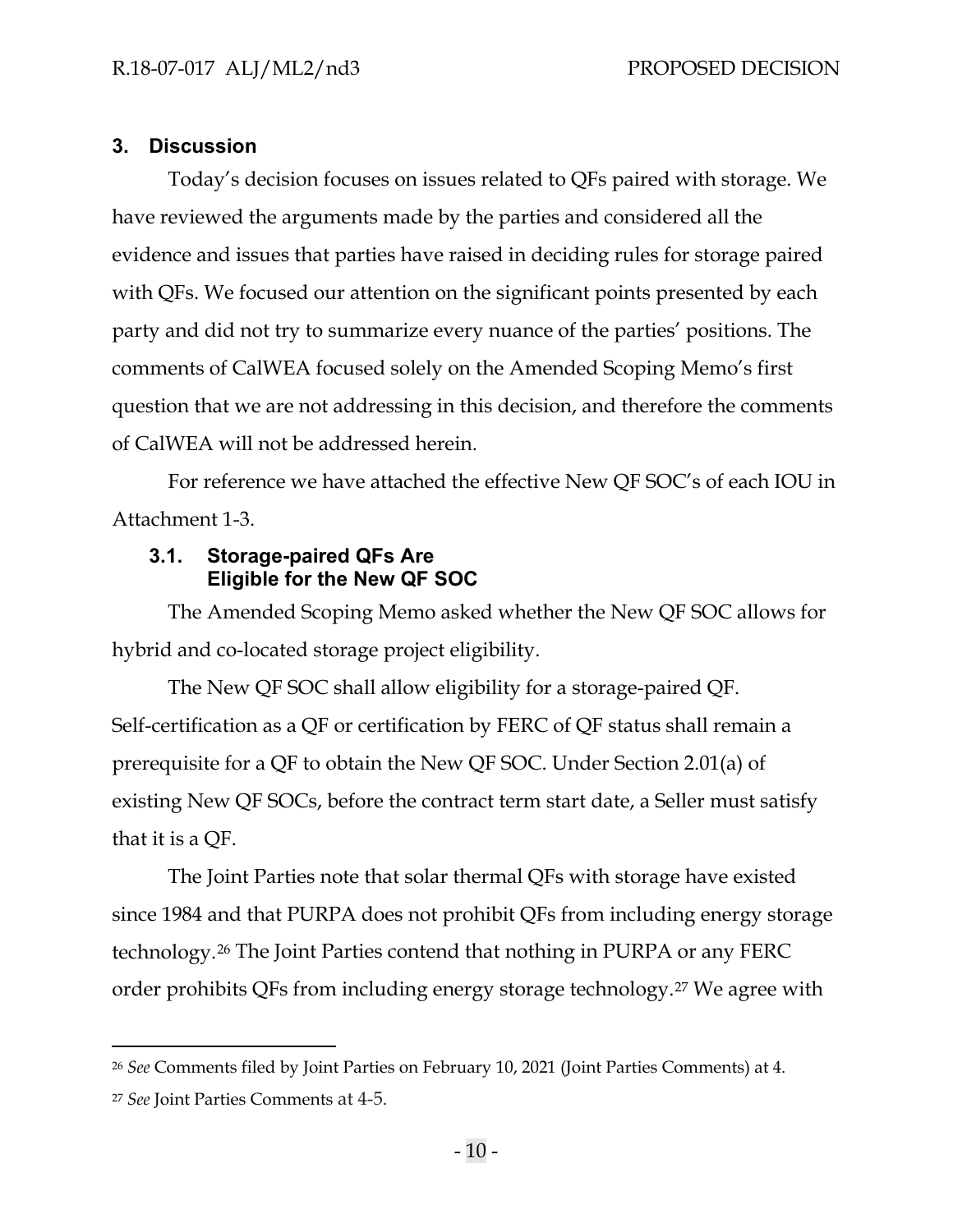#### <span id="page-12-0"></span>**3. Discussion**

Today's decision focuses on issues related to QFs paired with storage. We have reviewed the arguments made by the parties and considered all the evidence and issues that parties have raised in deciding rules for storage paired with QFs. We focused our attention on the significant points presented by each party and did not try to summarize every nuance of the parties' positions. The comments of CalWEA focused solely on the Amended Scoping Memo's first question that we are not addressing in this decision, and therefore the comments of CalWEA will not be addressed herein.

For reference we have attached the effective New QF SOC's of each IOU in Attachment 1-3.

#### <span id="page-12-1"></span>**3.1. Storage-paired QFs Are Eligible for the New QF SOC**

The Amended Scoping Memo asked whether the New QF SOC allows for hybrid and co-located storage project eligibility.

The New QF SOC shall allow eligibility for a storage-paired QF. Self-certification as a QF or certification by FERC of QF status shall remain a prerequisite for a QF to obtain the New QF SOC. Under Section 2.01(a) of existing New QF SOCs, before the contract term start date, a Seller must satisfy that it is a QF.

The Joint Parties note that solar thermal QFs with storage have existed since 1984 and that PURPA does not prohibit QFs from including energy storage technology.[26](#page-12-2) The Joint Parties contend that nothing in PURPA or any FERC order prohibits QFs from including energy storage technology.[27](#page-12-3) We agree with

<span id="page-12-2"></span><sup>26</sup> *See* Comments filed by Joint Parties on February 10, 2021 (Joint Parties Comments) at 4.

<span id="page-12-3"></span><sup>27</sup> *See* Joint Parties Comments at 4-5.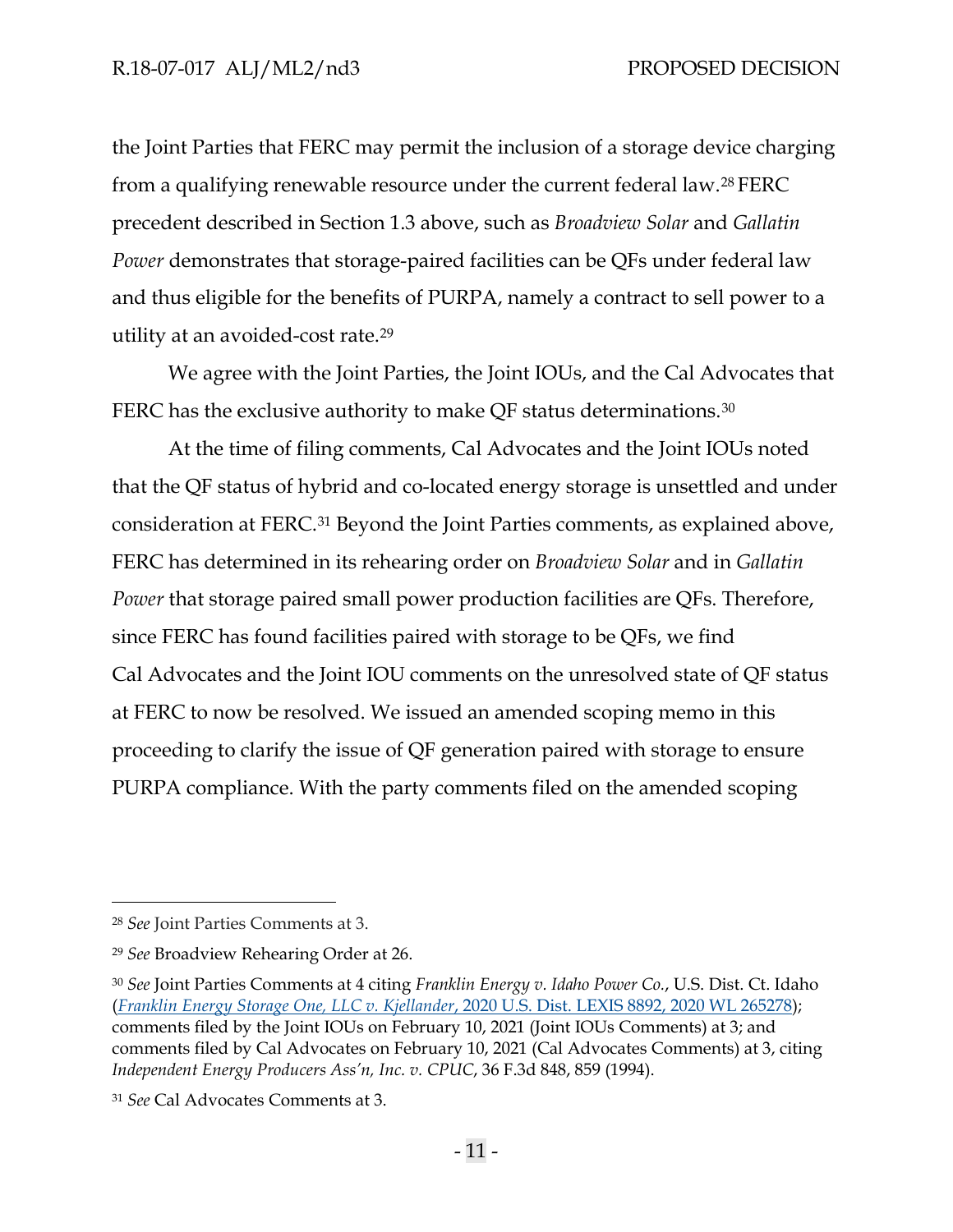the Joint Parties that FERC may permit the inclusion of a storage device charging from a qualifying renewable resource under the current federal law.[28](#page-13-0) FERC precedent described in Section 1.3 above, such as *Broadview Solar* and *Gallatin Power* demonstrates that storage-paired facilities can be QFs under federal law and thus eligible for the benefits of PURPA, namely a contract to sell power to a utility at an avoided-cost rate.[29](#page-13-1) 

We agree with the Joint Parties, the Joint IOUs, and the Cal Advocates that FERC has the exclusive authority to make QF status determinations.<sup>[30](#page-13-2)</sup>

At the time of filing comments, Cal Advocates and the Joint IOUs noted that the QF status of hybrid and co-located energy storage is unsettled and under consideration at FERC.[31](#page-13-3) Beyond the Joint Parties comments, as explained above, FERC has determined in its rehearing order on *Broadview Solar* and in *Gallatin Power* that storage paired small power production facilities are QFs. Therefore, since FERC has found facilities paired with storage to be QFs, we find Cal Advocates and the Joint IOU comments on the unresolved state of QF status at FERC to now be resolved. We issued an amended scoping memo in this proceeding to clarify the issue of QF generation paired with storage to ensure PURPA compliance. With the party comments filed on the amended scoping

<span id="page-13-0"></span><sup>28</sup> *See* Joint Parties Comments at 3.

<span id="page-13-1"></span><sup>29</sup> *See* Broadview Rehearing Order at 26.

<span id="page-13-2"></span><sup>30</sup> *See* Joint Parties Comments at 4 citing *Franklin Energy v. Idaho Power Co.*, U.S. Dist. Ct. Idaho (*Franklin Energy Storage One, LLC v. Kjellander*, 2020 U.S. Dist. LEXIS 8892, [2020 WL 265278\)](https://advance.lexis.com/api/document/collection/cases/id/5Y0S-CJ21-FC1F-M1FJ-00000-00?cite=2020%20U.S.%20Dist.%20LEXIS%208892&context=1000516); comments filed by the Joint IOUs on February 10, 2021 (Joint IOUs Comments) at 3; and comments filed by Cal Advocates on February 10, 2021 (Cal Advocates Comments) at 3, citing *Independent Energy Producers Ass'n, Inc. v. CPUC*, 36 F.3d 848, 859 (1994).

<span id="page-13-3"></span><sup>31</sup> *See* Cal Advocates Comments at 3.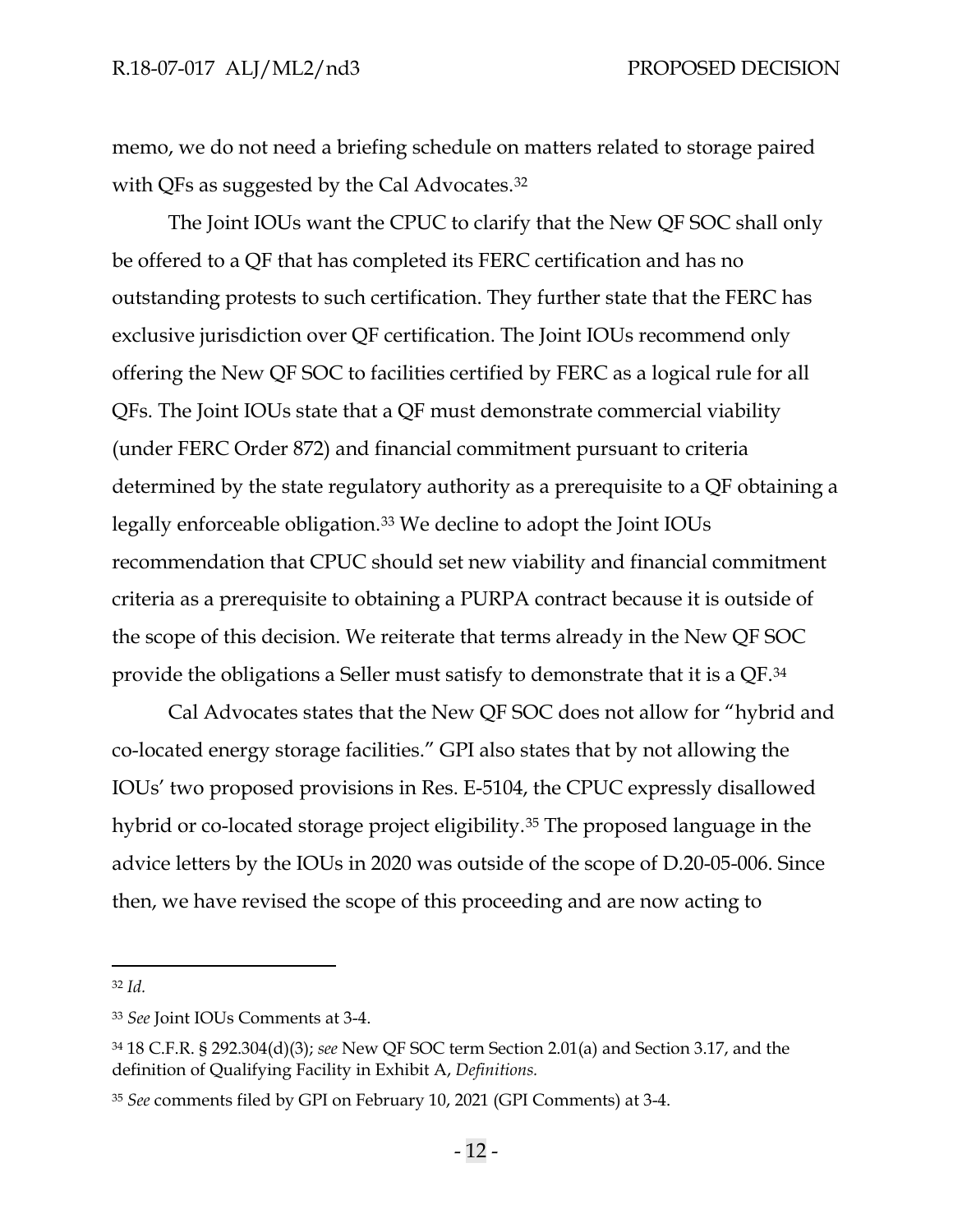memo, we do not need a briefing schedule on matters related to storage paired with QFs as suggested by the Cal Advocates.<sup>[32](#page-14-0)</sup>

The Joint IOUs want the CPUC to clarify that the New QF SOC shall only be offered to a QF that has completed its FERC certification and has no outstanding protests to such certification. They further state that the FERC has exclusive jurisdiction over QF certification. The Joint IOUs recommend only offering the New QF SOC to facilities certified by FERC as a logical rule for all QFs. The Joint IOUs state that a QF must demonstrate commercial viability (under FERC Order 872) and financial commitment pursuant to criteria determined by the state regulatory authority as a prerequisite to a QF obtaining a legally enforceable obligation.[33](#page-14-1) We decline to adopt the Joint IOUs recommendation that CPUC should set new viability and financial commitment criteria as a prerequisite to obtaining a PURPA contract because it is outside of the scope of this decision. We reiterate that terms already in the New QF SOC provide the obligations a Seller must satisfy to demonstrate that it is a QF.[34](#page-14-2)

Cal Advocates states that the New QF SOC does not allow for "hybrid and co-located energy storage facilities." GPI also states that by not allowing the IOUs' two proposed provisions in Res. E-5104, the CPUC expressly disallowed hybrid or co-located storage project eligibility.<sup>[35](#page-14-3)</sup> The proposed language in the advice letters by the IOUs in 2020 was outside of the scope of D.20-05-006. Since then, we have revised the scope of this proceeding and are now acting to

<span id="page-14-0"></span><sup>32</sup> *Id.*

<span id="page-14-1"></span><sup>33</sup> *See* Joint IOUs Comments at 3-4.

<span id="page-14-2"></span><sup>34</sup> 18 C.F.R. § 292.304(d)(3); *see* New QF SOC term Section 2.01(a) and Section 3.17, and the definition of Qualifying Facility in Exhibit A, *Definitions.* 

<span id="page-14-3"></span><sup>35</sup> *See* comments filed by GPI on February 10, 2021 (GPI Comments) at 3-4.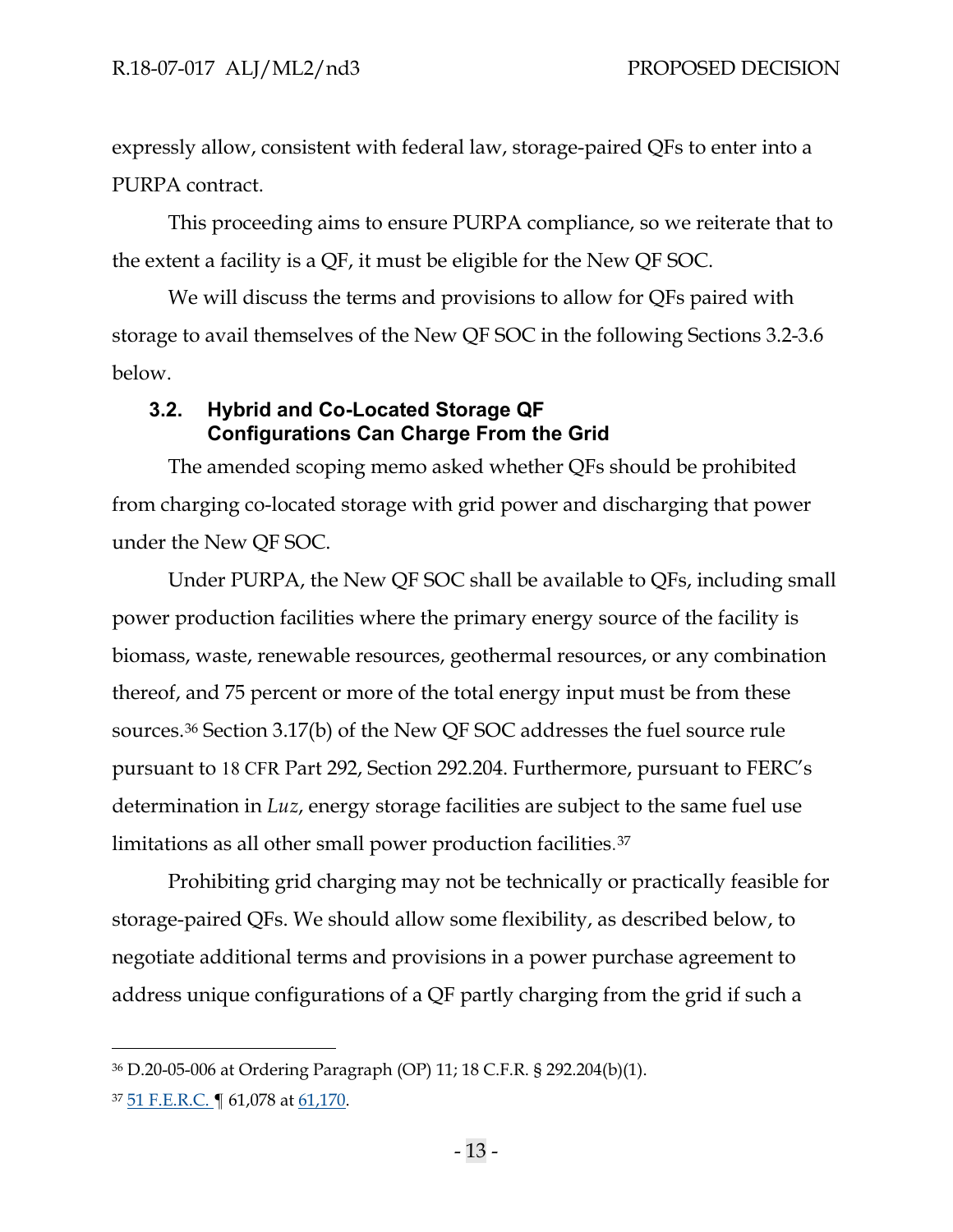expressly allow, consistent with federal law, storage-paired QFs to enter into a PURPA contract.

This proceeding aims to ensure PURPA compliance, so we reiterate that to the extent a facility is a QF, it must be eligible for the New QF SOC.

We will discuss the terms and provisions to allow for QFs paired with storage to avail themselves of the New QF SOC in the following Sections 3.2-3.6 below.

# <span id="page-15-0"></span>**3.2. Hybrid and Co-Located Storage QF Configurations Can Charge From the Grid**

The amended scoping memo asked whether QFs should be prohibited from charging co-located storage with grid power and discharging that power under the New QF SOC.

Under PURPA, the New QF SOC shall be available to QFs, including small power production facilities where the primary energy source of the facility is biomass, waste, renewable resources, geothermal resources, or any combination thereof, and 75 percent or more of the total energy input must be from these sources.[36](#page-15-1) Section 3.17(b) of the New QF SOC addresses the fuel source rule pursuant to 18 CFR Part 292, Section 292.204. Furthermore, pursuant to FERC's determination in *Luz*, energy storage facilities are subject to the same fuel use limitations as all other small power production facilities.[37](#page-15-2)

Prohibiting grid charging may not be technically or practically feasible for storage-paired QFs. We should allow some flexibility, as described below, to negotiate additional terms and provisions in a power purchase agreement to address unique configurations of a QF partly charging from the grid if such a

<span id="page-15-1"></span><sup>36</sup> D.20-05-006 at Ordering Paragraph (OP) 11; 18 C.F.R. § 292.204(b)(1).

<span id="page-15-2"></span><sup>37</sup> [51 F.E.R.C.](https://advance.lexis.com/api/document/collection/administrative-materials/id/3T1N-4YC0-001G-Y05F-00000-00?cite=%2051%20F.E.R.C.%20P61%2C078&context=1000516) | 61,078 at 61,170.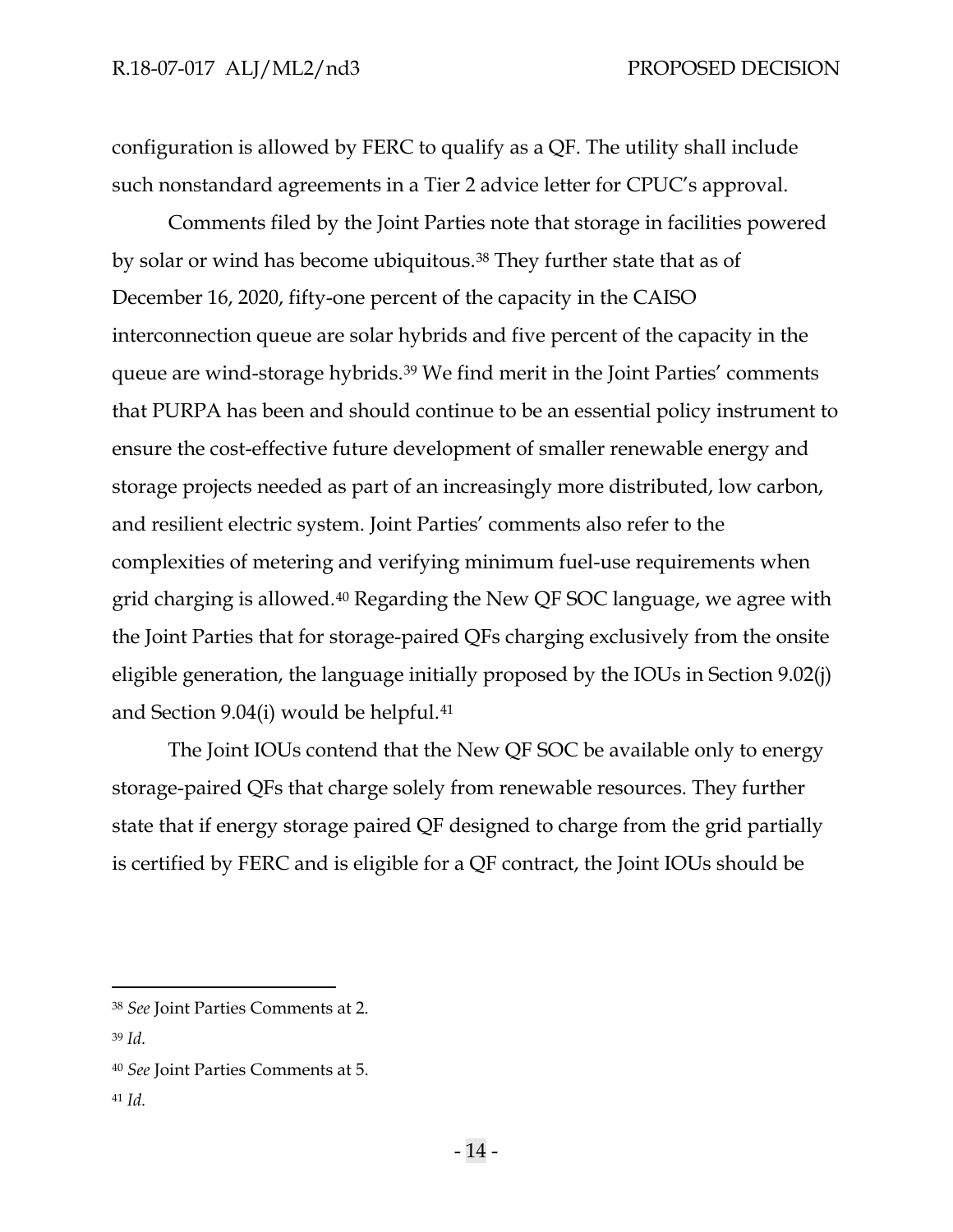configuration is allowed by FERC to qualify as a QF. The utility shall include such nonstandard agreements in a Tier 2 advice letter for CPUC's approval.

Comments filed by the Joint Parties note that storage in facilities powered by solar or wind has become ubiquitous.[38](#page-16-0) They further state that as of December 16, 2020, fifty-one percent of the capacity in the CAISO interconnection queue are solar hybrids and five percent of the capacity in the queue are wind-storage hybrids.[39](#page-16-1) We find merit in the Joint Parties' comments that PURPA has been and should continue to be an essential policy instrument to ensure the cost-effective future development of smaller renewable energy and storage projects needed as part of an increasingly more distributed, low carbon, and resilient electric system. Joint Parties' comments also refer to the complexities of metering and verifying minimum fuel-use requirements when grid charging is allowed.[40](#page-16-2) Regarding the New QF SOC language, we agree with the Joint Parties that for storage-paired QFs charging exclusively from the onsite eligible generation, the language initially proposed by the IOUs in Section 9.02(j) and Section 9.04(i) would be helpful.[41](#page-16-3)

The Joint IOUs contend that the New QF SOC be available only to energy storage-paired QFs that charge solely from renewable resources. They further state that if energy storage paired QF designed to charge from the grid partially is certified by FERC and is eligible for a QF contract, the Joint IOUs should be

<span id="page-16-3"></span><sup>41</sup> *Id.* 

<span id="page-16-0"></span><sup>38</sup> *See* Joint Parties Comments at 2.

<span id="page-16-1"></span><sup>39</sup> *Id.*

<span id="page-16-2"></span><sup>40</sup> *See* Joint Parties Comments at 5.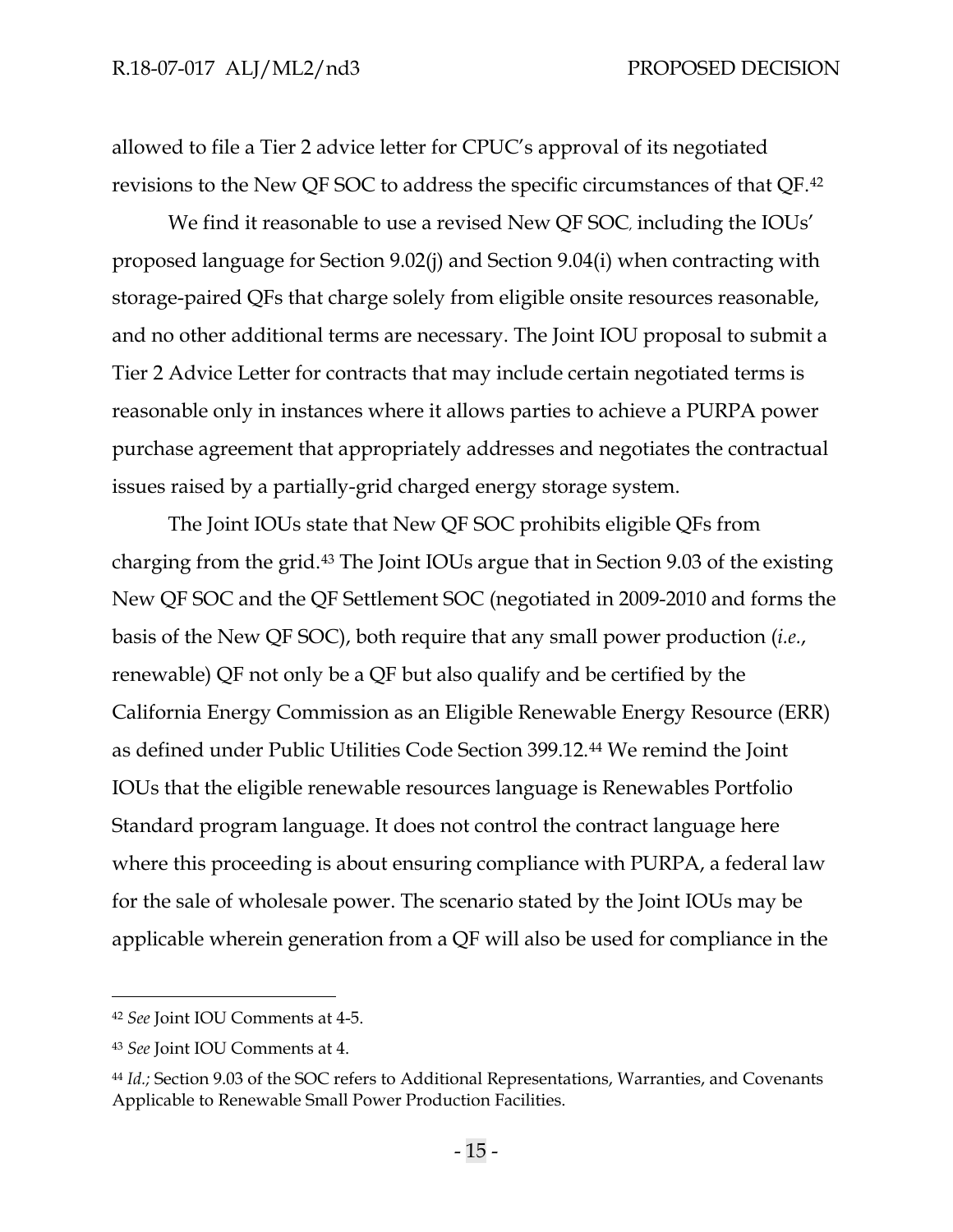allowed to file a Tier 2 advice letter for CPUC's approval of its negotiated revisions to the New QF SOC to address the specific circumstances of that QF.[42](#page-17-0)

We find it reasonable to use a revised New QF SOC, including the IOUs' proposed language for Section 9.02(j) and Section 9.04(i) when contracting with storage-paired QFs that charge solely from eligible onsite resources reasonable, and no other additional terms are necessary. The Joint IOU proposal to submit a Tier 2 Advice Letter for contracts that may include certain negotiated terms is reasonable only in instances where it allows parties to achieve a PURPA power purchase agreement that appropriately addresses and negotiates the contractual issues raised by a partially-grid charged energy storage system.

The Joint IOUs state that New QF SOC prohibits eligible QFs from charging from the grid[.43](#page-17-1) The Joint IOUs argue that in Section 9.03 of the existing New QF SOC and the QF Settlement SOC (negotiated in 2009-2010 and forms the basis of the New QF SOC), both require that any small power production (*i.e.*, renewable) QF not only be a QF but also qualify and be certified by the California Energy Commission as an Eligible Renewable Energy Resource (ERR) as defined under Public Utilities Code Section 399.12.[44](#page-17-2) We remind the Joint IOUs that the eligible renewable resources language is Renewables Portfolio Standard program language. It does not control the contract language here where this proceeding is about ensuring compliance with PURPA, a federal law for the sale of wholesale power. The scenario stated by the Joint IOUs may be applicable wherein generation from a QF will also be used for compliance in the

<span id="page-17-0"></span><sup>42</sup> *See* Joint IOU Comments at 4-5.

<span id="page-17-1"></span><sup>43</sup> *See* Joint IOU Comments at 4.

<span id="page-17-2"></span><sup>44</sup> *Id.;* Section 9.03 of the SOC refers to Additional Representations, Warranties, and Covenants Applicable to Renewable Small Power Production Facilities.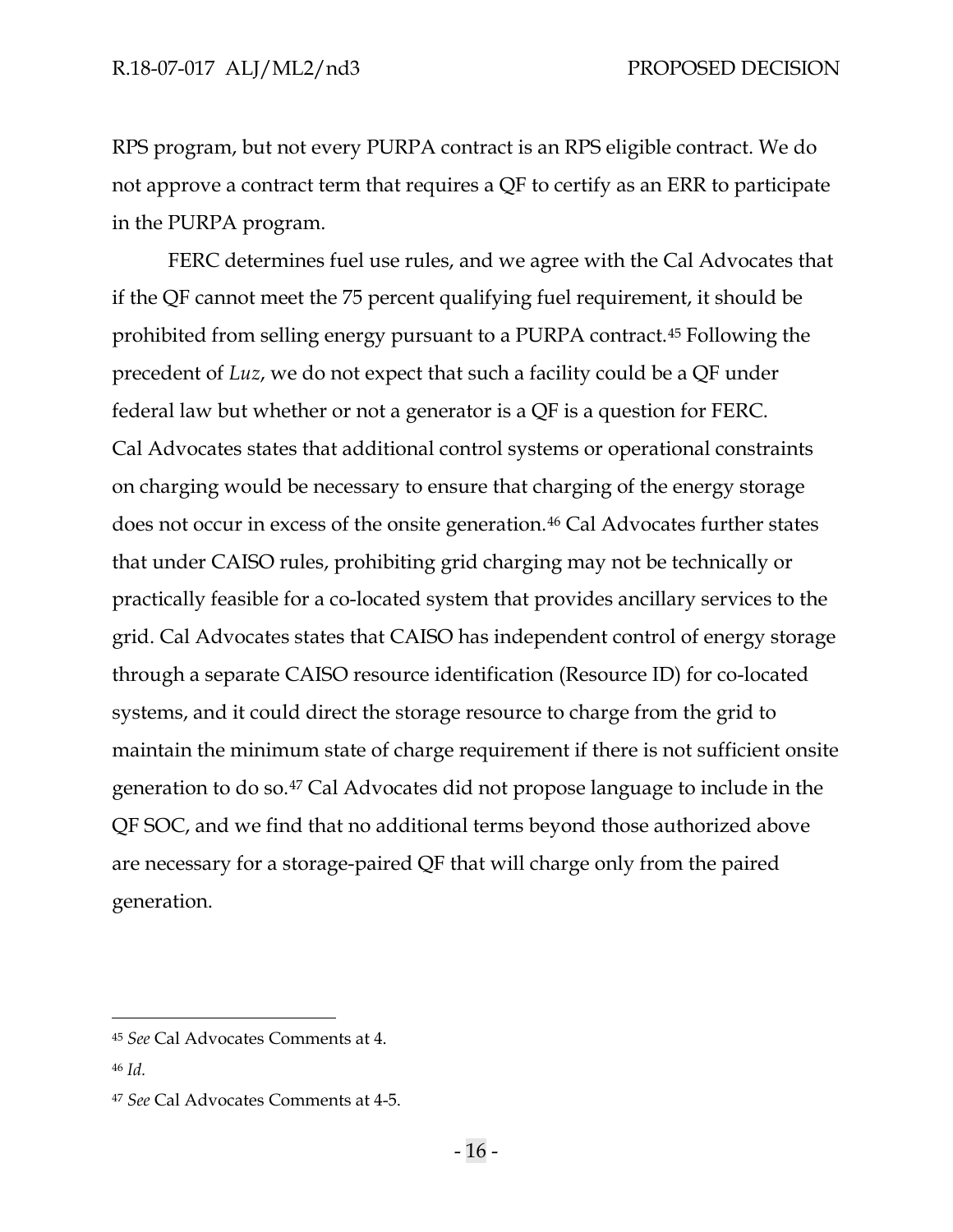RPS program, but not every PURPA contract is an RPS eligible contract. We do not approve a contract term that requires a QF to certify as an ERR to participate in the PURPA program.

FERC determines fuel use rules, and we agree with the Cal Advocates that if the QF cannot meet the 75 percent qualifying fuel requirement, it should be prohibited from selling energy pursuant to a PURPA contract.[45](#page-18-0) Following the precedent of *Luz*, we do not expect that such a facility could be a QF under federal law but whether or not a generator is a QF is a question for FERC. Cal Advocates states that additional control systems or operational constraints on charging would be necessary to ensure that charging of the energy storage does not occur in excess of the onsite generation.<sup>[46](#page-18-1)</sup> Cal Advocates further states that under CAISO rules, prohibiting grid charging may not be technically or practically feasible for a co-located system that provides ancillary services to the grid. Cal Advocates states that CAISO has independent control of energy storage through a separate CAISO resource identification (Resource ID) for co-located systems, and it could direct the storage resource to charge from the grid to maintain the minimum state of charge requirement if there is not sufficient onsite generation to do so.[47](#page-18-2) Cal Advocates did not propose language to include in the QF SOC, and we find that no additional terms beyond those authorized above are necessary for a storage-paired QF that will charge only from the paired generation.

<span id="page-18-0"></span><sup>45</sup> *See* Cal Advocates Comments at 4.

<span id="page-18-1"></span><sup>46</sup> *Id.*

<span id="page-18-2"></span><sup>47</sup> *See* Cal Advocates Comments at 4-5.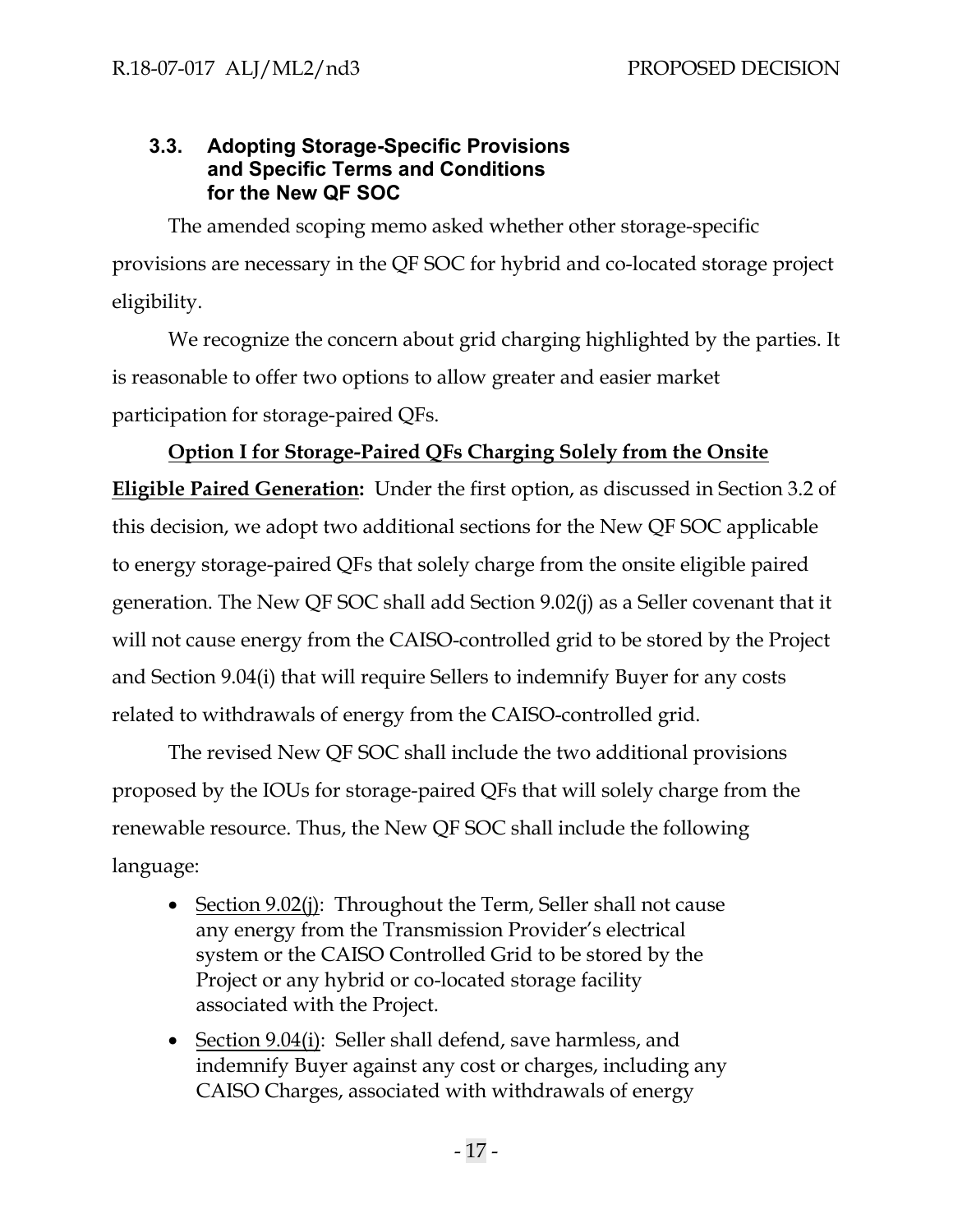# <span id="page-19-0"></span>**3.3. Adopting Storage-Specific Provisions and Specific Terms and Conditions for the New QF SOC**

The amended scoping memo asked whether other storage-specific provisions are necessary in the QF SOC for hybrid and co-located storage project eligibility.

We recognize the concern about grid charging highlighted by the parties. It is reasonable to offer two options to allow greater and easier market participation for storage-paired QFs.

# **Option I for Storage-Paired QFs Charging Solely from the Onsite**

**Eligible Paired Generation:** Under the first option, as discussed in Section 3.2 of this decision, we adopt two additional sections for the New QF SOC applicable to energy storage-paired QFs that solely charge from the onsite eligible paired generation. The New QF SOC shall add Section 9.02(j) as a Seller covenant that it will not cause energy from the CAISO-controlled grid to be stored by the Project and Section 9.04(i) that will require Sellers to indemnify Buyer for any costs related to withdrawals of energy from the CAISO-controlled grid.

The revised New QF SOC shall include the two additional provisions proposed by the IOUs for storage-paired QFs that will solely charge from the renewable resource. Thus, the New QF SOC shall include the following language:

- Section 9.02(j): Throughout the Term, Seller shall not cause any energy from the Transmission Provider's electrical system or the CAISO Controlled Grid to be stored by the Project or any hybrid or co-located storage facility associated with the Project.
- Section 9.04(i): Seller shall defend, save harmless, and indemnify Buyer against any cost or charges, including any CAISO Charges, associated with withdrawals of energy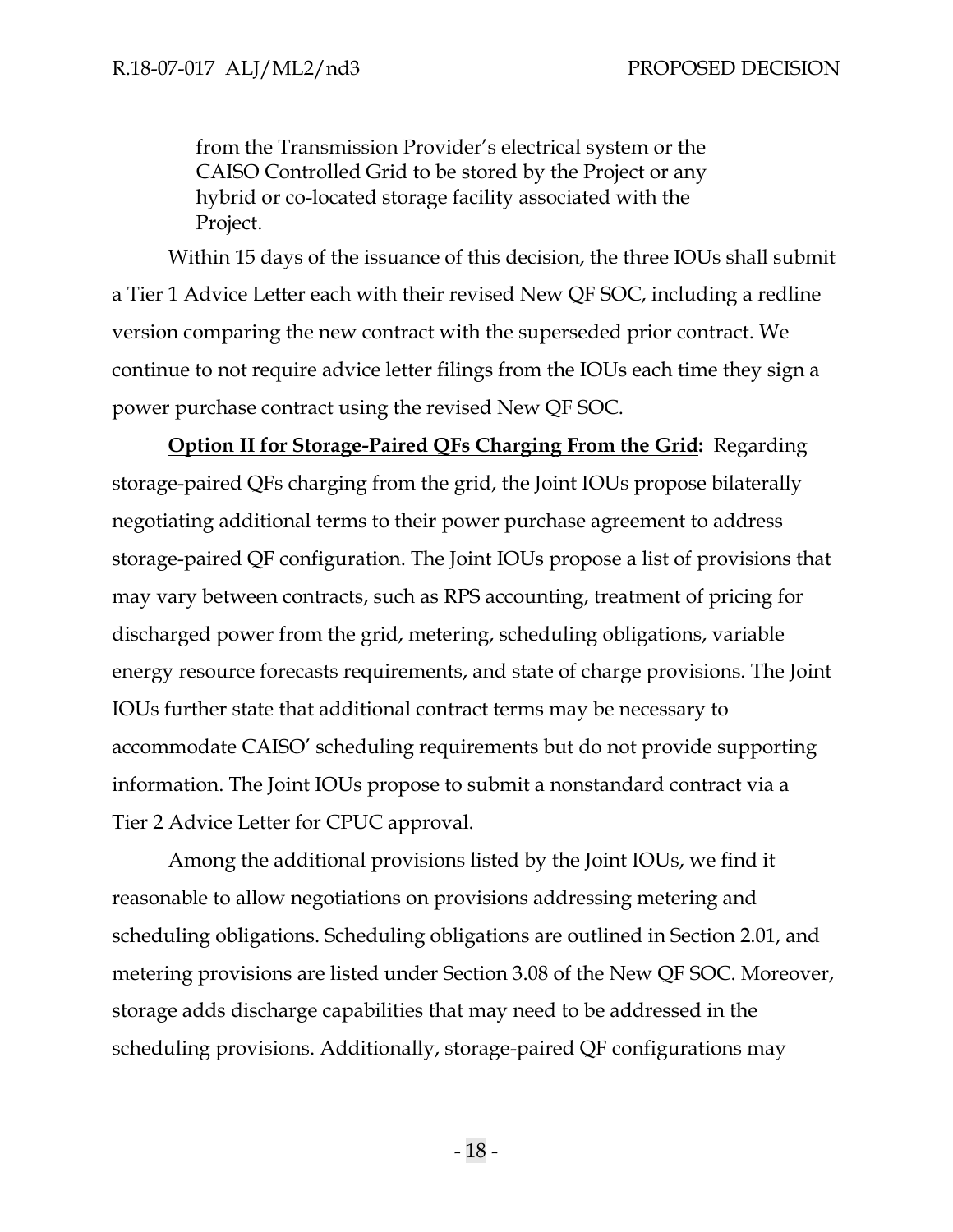from the Transmission Provider's electrical system or the CAISO Controlled Grid to be stored by the Project or any hybrid or co-located storage facility associated with the Project.

Within 15 days of the issuance of this decision, the three IOUs shall submit a Tier 1 Advice Letter each with their revised New QF SOC, including a redline version comparing the new contract with the superseded prior contract. We continue to not require advice letter filings from the IOUs each time they sign a power purchase contract using the revised New QF SOC.

**Option II for Storage-Paired QFs Charging From the Grid:** Regarding storage-paired QFs charging from the grid, the Joint IOUs propose bilaterally negotiating additional terms to their power purchase agreement to address storage-paired QF configuration. The Joint IOUs propose a list of provisions that may vary between contracts, such as RPS accounting, treatment of pricing for discharged power from the grid, metering, scheduling obligations, variable energy resource forecasts requirements, and state of charge provisions. The Joint IOUs further state that additional contract terms may be necessary to accommodate CAISO' scheduling requirements but do not provide supporting information. The Joint IOUs propose to submit a nonstandard contract via a Tier 2 Advice Letter for CPUC approval.

Among the additional provisions listed by the Joint IOUs, we find it reasonable to allow negotiations on provisions addressing metering and scheduling obligations. Scheduling obligations are outlined in Section 2.01, and metering provisions are listed under Section 3.08 of the New QF SOC. Moreover, storage adds discharge capabilities that may need to be addressed in the scheduling provisions. Additionally, storage-paired QF configurations may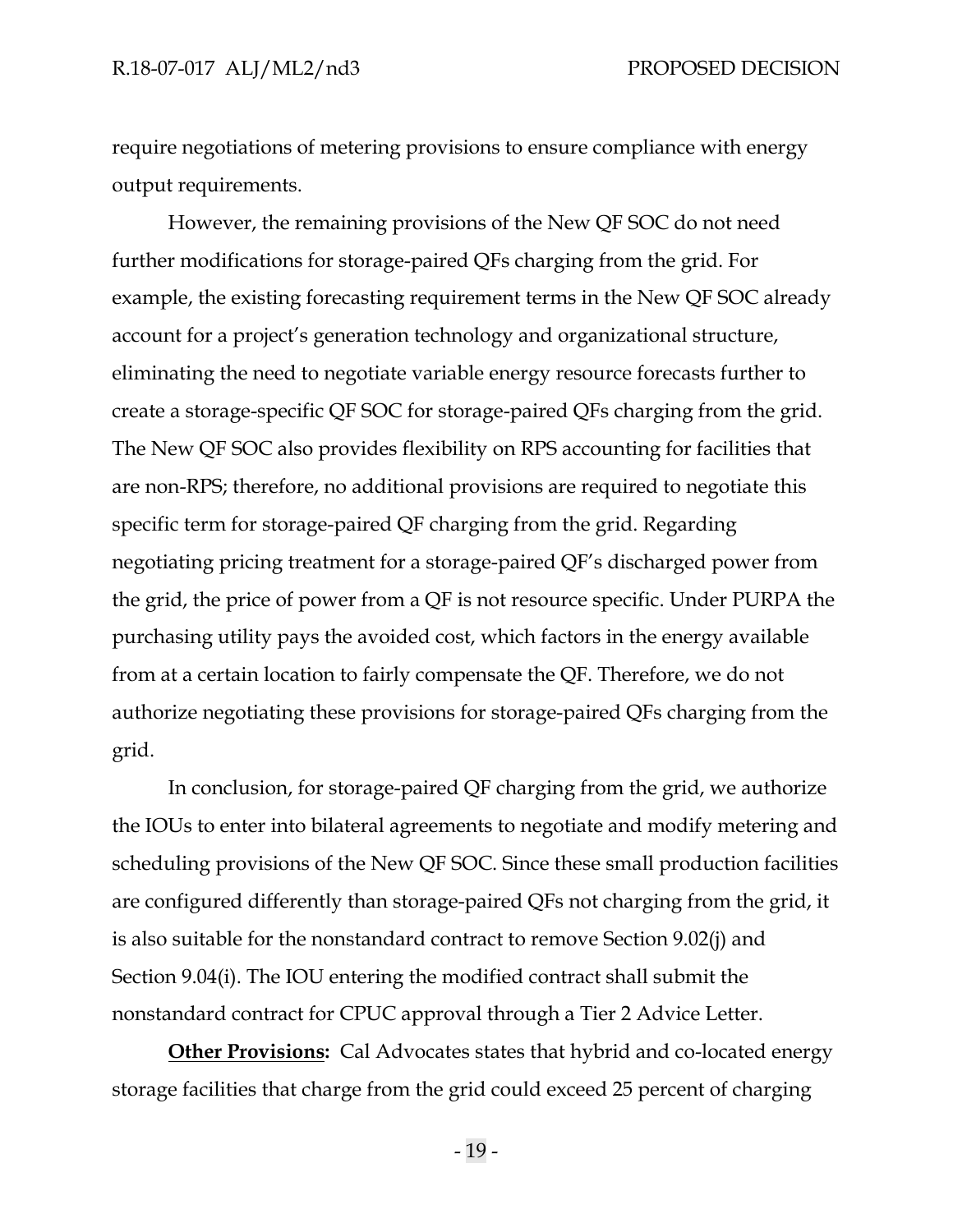require negotiations of metering provisions to ensure compliance with energy output requirements.

However, the remaining provisions of the New QF SOC do not need further modifications for storage-paired QFs charging from the grid. For example, the existing forecasting requirement terms in the New QF SOC already account for a project's generation technology and organizational structure, eliminating the need to negotiate variable energy resource forecasts further to create a storage-specific QF SOC for storage-paired QFs charging from the grid. The New QF SOC also provides flexibility on RPS accounting for facilities that are non-RPS; therefore, no additional provisions are required to negotiate this specific term for storage-paired QF charging from the grid. Regarding negotiating pricing treatment for a storage-paired QF's discharged power from the grid, the price of power from a QF is not resource specific. Under PURPA the purchasing utility pays the avoided cost, which factors in the energy available from at a certain location to fairly compensate the QF. Therefore, we do not authorize negotiating these provisions for storage-paired QFs charging from the grid.

In conclusion, for storage-paired QF charging from the grid, we authorize the IOUs to enter into bilateral agreements to negotiate and modify metering and scheduling provisions of the New QF SOC. Since these small production facilities are configured differently than storage-paired QFs not charging from the grid, it is also suitable for the nonstandard contract to remove Section 9.02(j) and Section 9.04(i). The IOU entering the modified contract shall submit the nonstandard contract for CPUC approval through a Tier 2 Advice Letter.

**Other Provisions:** Cal Advocates states that hybrid and co-located energy storage facilities that charge from the grid could exceed 25 percent of charging

- 19 -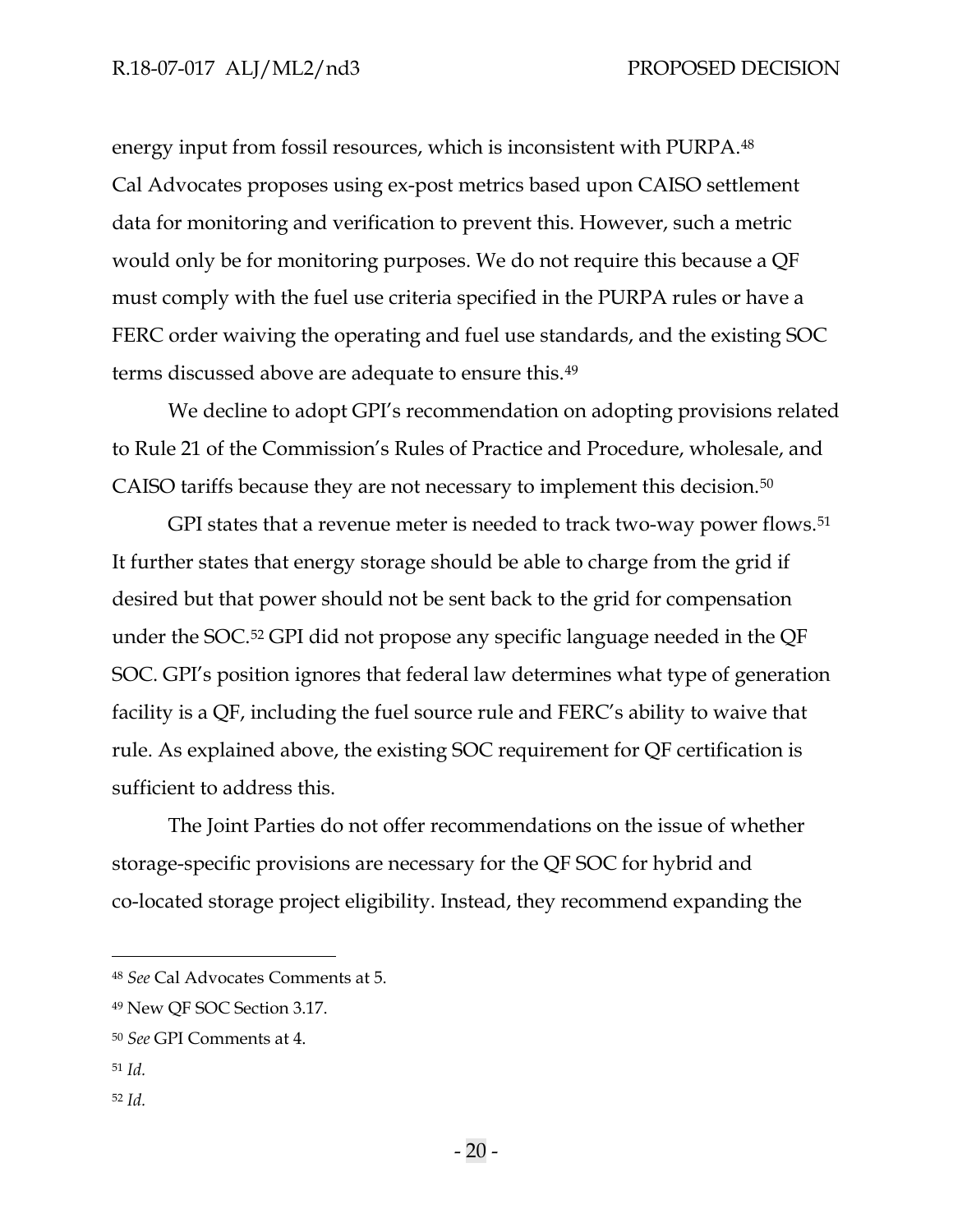energy input from fossil resources, which is inconsistent with PURPA.[48](#page-22-0) Cal Advocates proposes using ex-post metrics based upon CAISO settlement data for monitoring and verification to prevent this. However, such a metric would only be for monitoring purposes. We do not require this because a QF must comply with the fuel use criteria specified in the PURPA rules or have a FERC order waiving the operating and fuel use standards, and the existing SOC terms discussed above are adequate to ensure this.[49](#page-22-1)

We decline to adopt GPI's recommendation on adopting provisions related to Rule 21 of the Commission's Rules of Practice and Procedure, wholesale, and CAISO tariffs because they are not necessary to implement this decision.[50](#page-22-2)

GPI states that a revenue meter is needed to track two-way power flows.<sup>[51](#page-22-3)</sup> It further states that energy storage should be able to charge from the grid if desired but that power should not be sent back to the grid for compensation under the SOC.[52](#page-22-4) GPI did not propose any specific language needed in the QF SOC. GPI's position ignores that federal law determines what type of generation facility is a QF, including the fuel source rule and FERC's ability to waive that rule. As explained above, the existing SOC requirement for QF certification is sufficient to address this.

The Joint Parties do not offer recommendations on the issue of whether storage-specific provisions are necessary for the QF SOC for hybrid and co-located storage project eligibility. Instead, they recommend expanding the

- <span id="page-22-3"></span><sup>51</sup> *Id.*
- <span id="page-22-4"></span><sup>52</sup> *Id.*

<span id="page-22-0"></span><sup>48</sup> *See* Cal Advocates Comments at 5.

<span id="page-22-1"></span><sup>49</sup> New QF SOC Section 3.17.

<span id="page-22-2"></span><sup>50</sup> *See* GPI Comments at 4.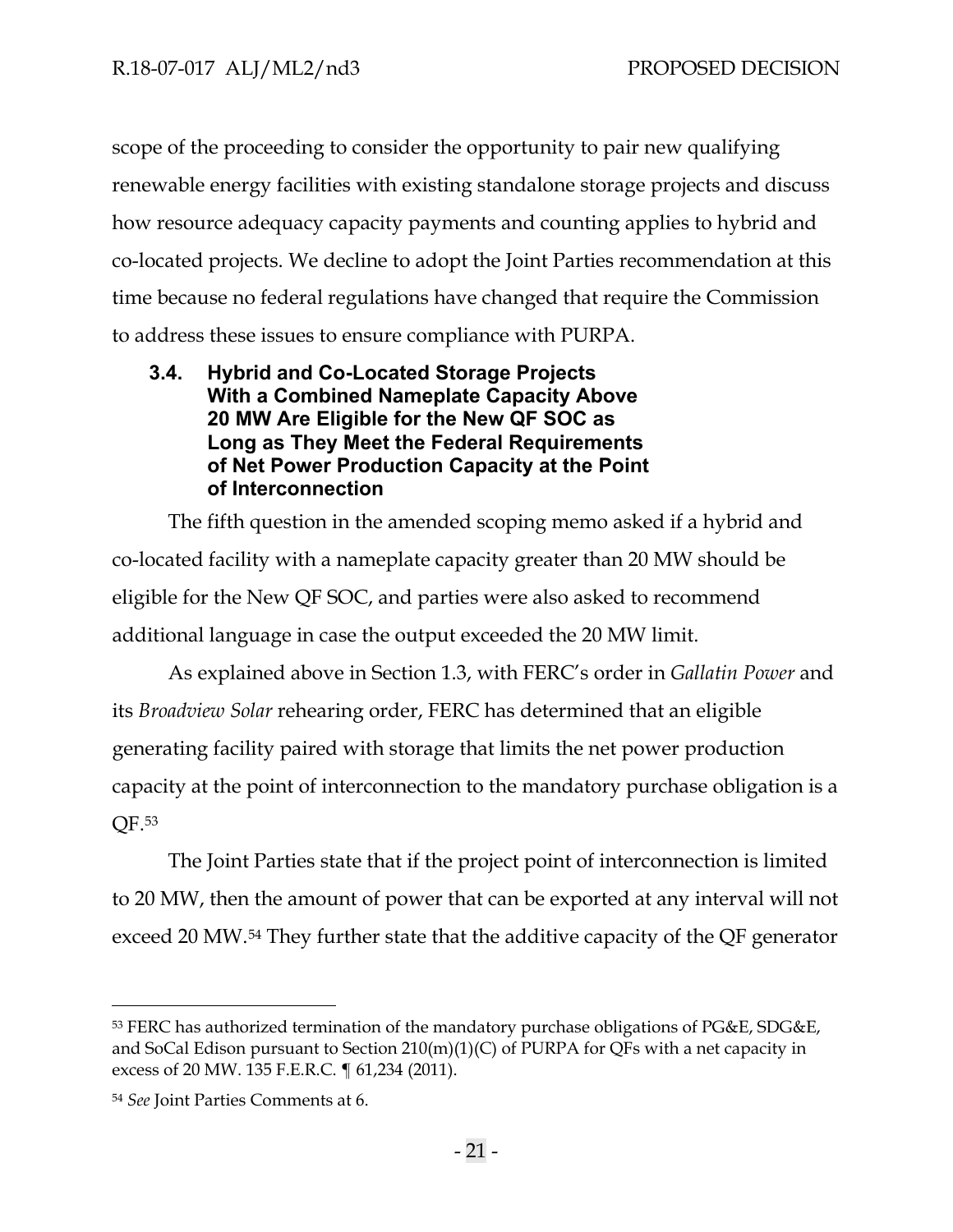scope of the proceeding to consider the opportunity to pair new qualifying renewable energy facilities with existing standalone storage projects and discuss how resource adequacy capacity payments and counting applies to hybrid and co-located projects. We decline to adopt the Joint Parties recommendation at this time because no federal regulations have changed that require the Commission to address these issues to ensure compliance with PURPA.

# <span id="page-23-0"></span>**3.4. Hybrid and Co-Located Storage Projects With a Combined Nameplate Capacity Above 20 MW Are Eligible for the New QF SOC as Long as They Meet the Federal Requirements of Net Power Production Capacity at the Point of Interconnection**

The fifth question in the amended scoping memo asked if a hybrid and co-located facility with a nameplate capacity greater than 20 MW should be eligible for the New QF SOC, and parties were also asked to recommend additional language in case the output exceeded the 20 MW limit.

As explained above in Section 1.3, with FERC's order in *Gallatin Power* and its *Broadview Solar* rehearing order, FERC has determined that an eligible generating facility paired with storage that limits the net power production capacity at the point of interconnection to the mandatory purchase obligation is a QF.[53](#page-23-1)

The Joint Parties state that if the project point of interconnection is limited to 20 MW, then the amount of power that can be exported at any interval will not exceed 20 MW.[54](#page-23-2) They further state that the additive capacity of the QF generator

<span id="page-23-1"></span><sup>53</sup> FERC has authorized termination of the mandatory purchase obligations of PG&E, SDG&E, and SoCal Edison pursuant to Section 210(m)(1)(C) of PURPA for QFs with a net capacity in excess of 20 MW. 135 F.E.R.C. ¶ 61,234 (2011).

<span id="page-23-2"></span><sup>54</sup> *See* Joint Parties Comments at 6.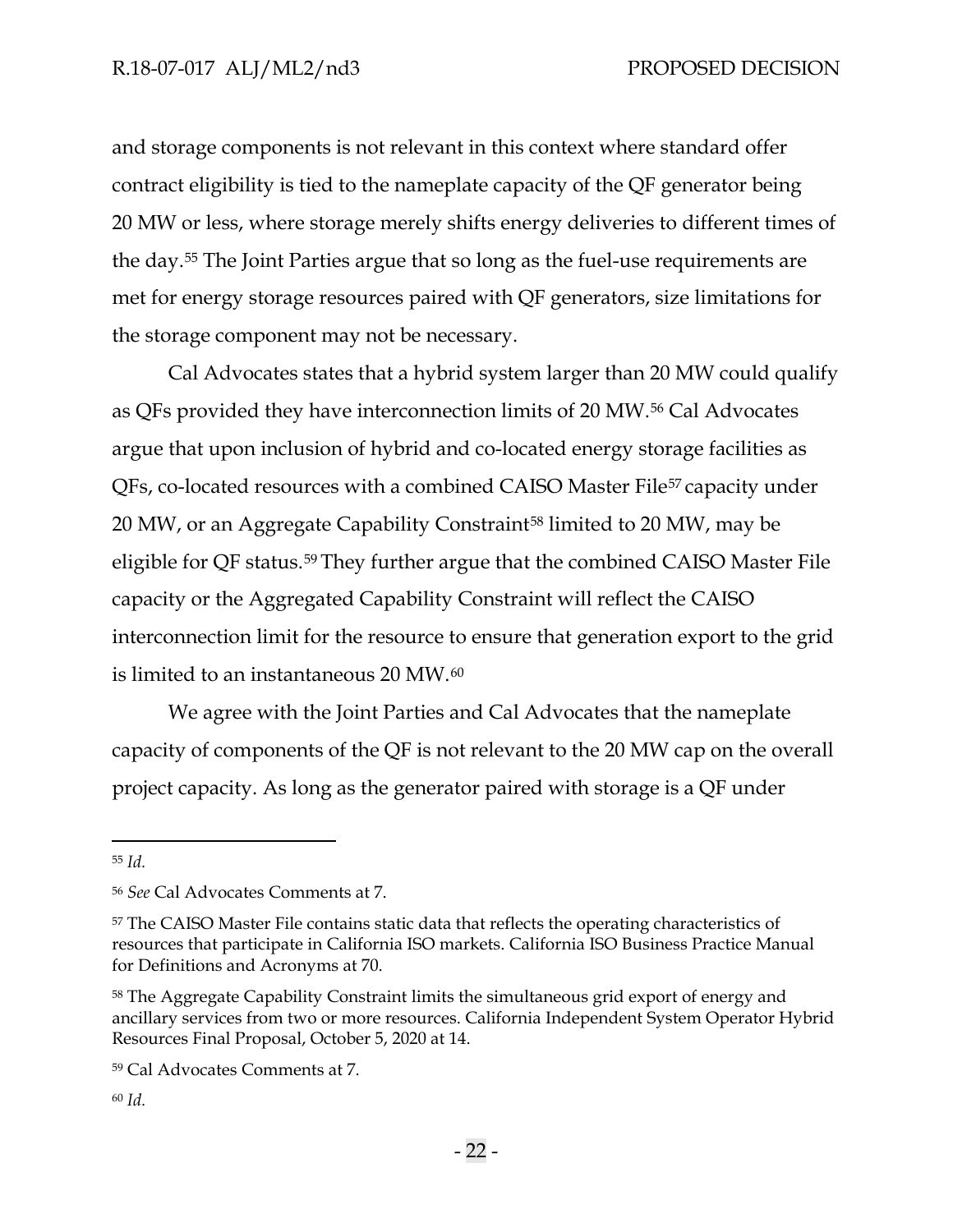and storage components is not relevant in this context where standard offer contract eligibility is tied to the nameplate capacity of the QF generator being 20 MW or less, where storage merely shifts energy deliveries to different times of the day.[55](#page-24-0) The Joint Parties argue that so long as the fuel-use requirements are met for energy storage resources paired with QF generators, size limitations for the storage component may not be necessary.

Cal Advocates states that a hybrid system larger than 20 MW could qualify as QFs provided they have interconnection limits of 20 MW.[56](#page-24-1) Cal Advocates argue that upon inclusion of hybrid and co-located energy storage facilities as QFs, co-located resources with a combined CAISO Master File[57](#page-24-2) capacity under 20 MW, or an Aggregate Capability Constraint<sup>[58](#page-24-3)</sup> limited to 20 MW, may be eligible for QF status.[59](#page-24-4) They further argue that the combined CAISO Master File capacity or the Aggregated Capability Constraint will reflect the CAISO interconnection limit for the resource to ensure that generation export to the grid is limited to an instantaneous 20 MW.[60](#page-24-5)

We agree with the Joint Parties and Cal Advocates that the nameplate capacity of components of the QF is not relevant to the 20 MW cap on the overall project capacity. As long as the generator paired with storage is a QF under

<span id="page-24-0"></span><sup>55</sup> *Id.*

<span id="page-24-1"></span><sup>56</sup> *See* Cal Advocates Comments at 7.

<span id="page-24-2"></span><sup>57</sup> The CAISO Master File contains static data that reflects the operating characteristics of resources that participate in California ISO markets. California ISO Business Practice Manual for Definitions and Acronyms at 70.

<span id="page-24-3"></span><sup>&</sup>lt;sup>58</sup> The Aggregate Capability Constraint limits the simultaneous grid export of energy and ancillary services from two or more resources. California Independent System Operator Hybrid Resources Final Proposal, October 5, 2020 at 14.

<span id="page-24-4"></span><sup>59</sup> Cal Advocates Comments at 7.

<span id="page-24-5"></span><sup>60</sup> *Id.*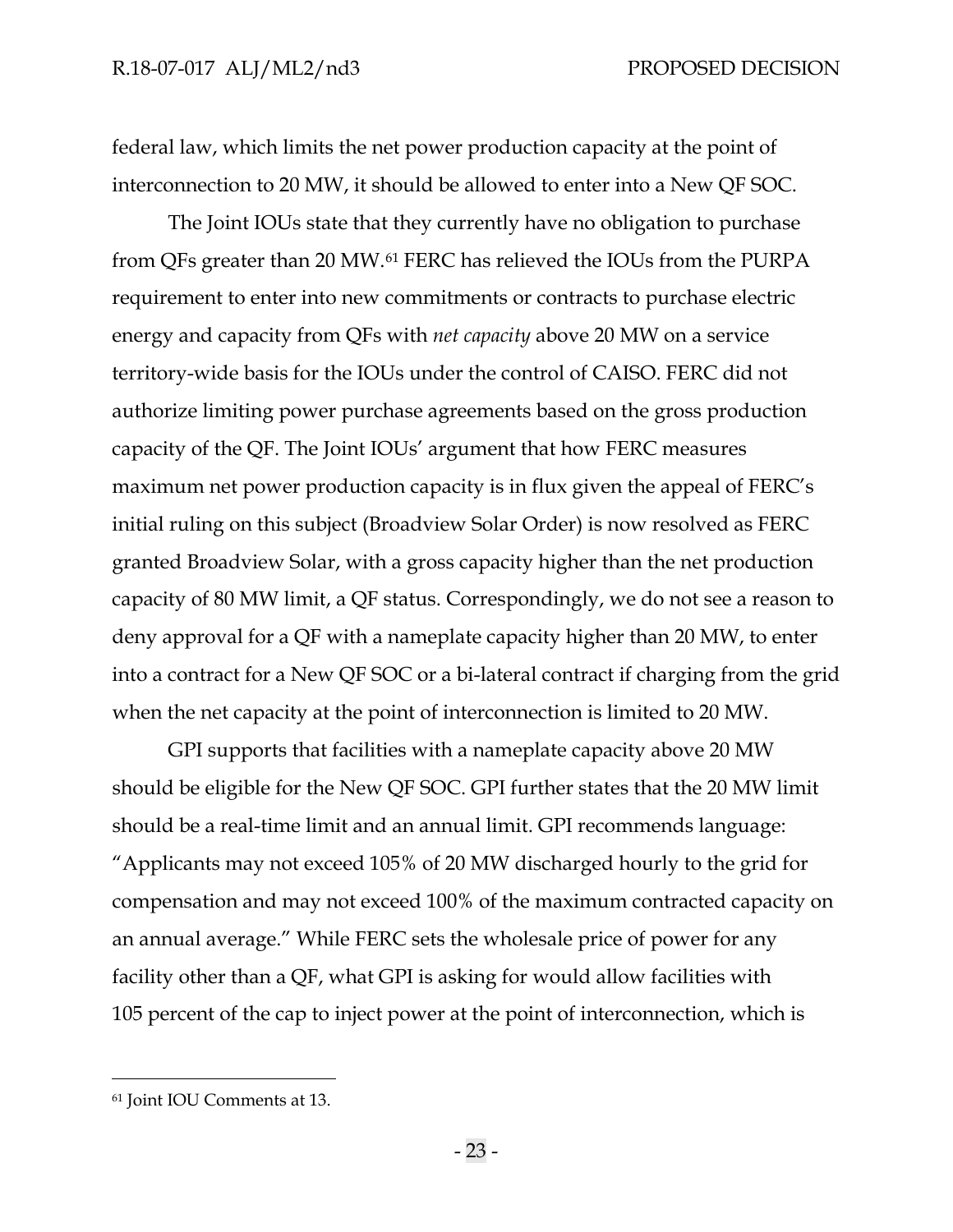federal law, which limits the net power production capacity at the point of interconnection to 20 MW, it should be allowed to enter into a New QF SOC.

The Joint IOUs state that they currently have no obligation to purchase from QFs greater than 20 MW.[61](#page-25-0) FERC has relieved the IOUs from the PURPA requirement to enter into new commitments or contracts to purchase electric energy and capacity from QFs with *net capacity* above 20 MW on a service territory-wide basis for the IOUs under the control of CAISO. FERC did not authorize limiting power purchase agreements based on the gross production capacity of the QF. The Joint IOUs' argument that how FERC measures maximum net power production capacity is in flux given the appeal of FERC's initial ruling on this subject (Broadview Solar Order) is now resolved as FERC granted Broadview Solar, with a gross capacity higher than the net production capacity of 80 MW limit, a QF status. Correspondingly, we do not see a reason to deny approval for a QF with a nameplate capacity higher than 20 MW, to enter into a contract for a New QF SOC or a bi-lateral contract if charging from the grid when the net capacity at the point of interconnection is limited to 20 MW.

GPI supports that facilities with a nameplate capacity above 20 MW should be eligible for the New QF SOC. GPI further states that the 20 MW limit should be a real-time limit and an annual limit. GPI recommends language: "Applicants may not exceed 105% of 20 MW discharged hourly to the grid for compensation and may not exceed 100% of the maximum contracted capacity on an annual average." While FERC sets the wholesale price of power for any facility other than a QF, what GPI is asking for would allow facilities with 105 percent of the cap to inject power at the point of interconnection, which is

<span id="page-25-0"></span><sup>61</sup> Joint IOU Comments at 13.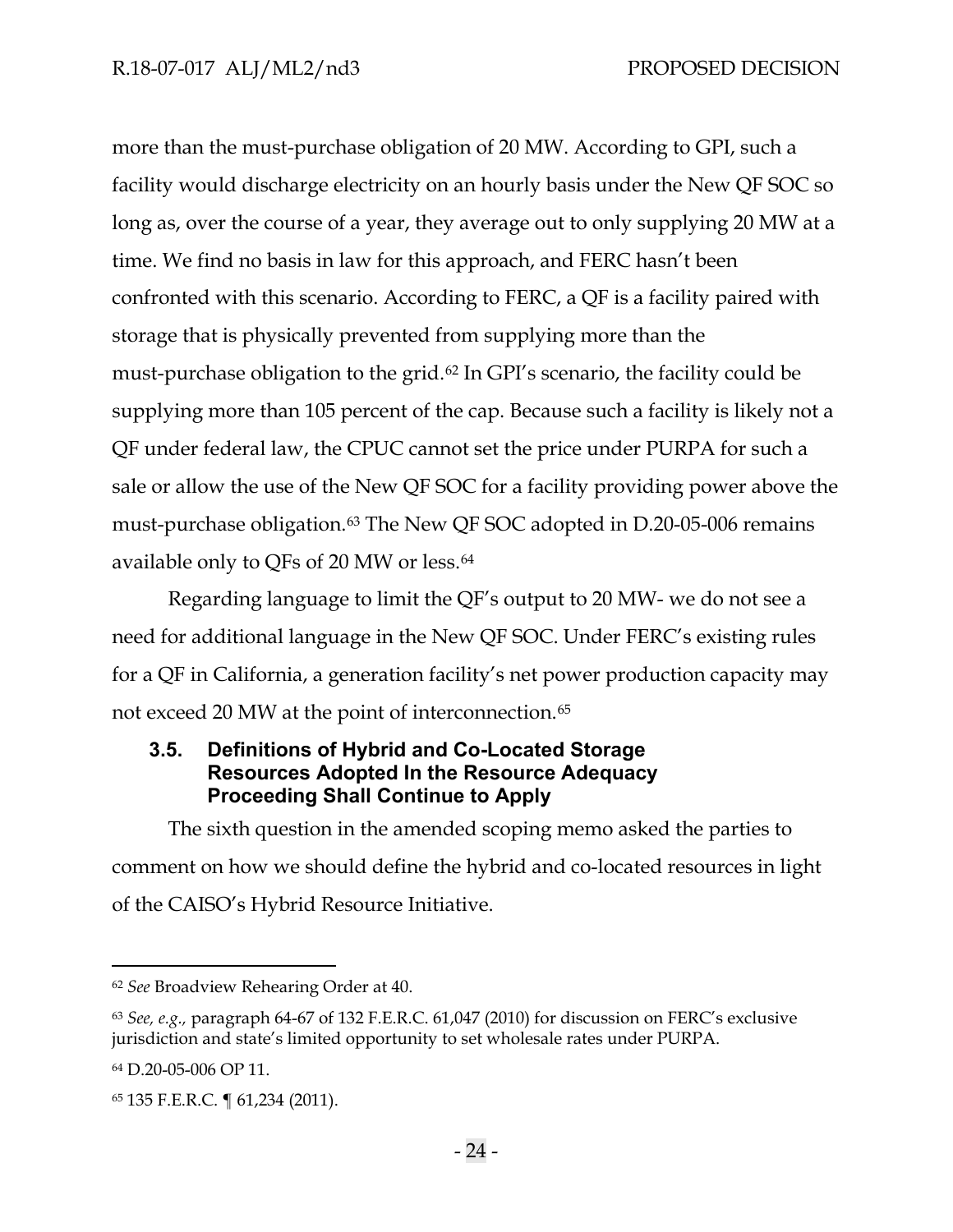more than the must-purchase obligation of 20 MW. According to GPI, such a facility would discharge electricity on an hourly basis under the New QF SOC so long as, over the course of a year, they average out to only supplying 20 MW at a time. We find no basis in law for this approach, and FERC hasn't been confronted with this scenario. According to FERC, a QF is a facility paired with storage that is physically prevented from supplying more than the must-purchase obligation to the grid.[62](#page-26-1) In GPI's scenario, the facility could be supplying more than 105 percent of the cap. Because such a facility is likely not a QF under federal law, the CPUC cannot set the price under PURPA for such a sale or allow the use of the New QF SOC for a facility providing power above the must-purchase obligation.<sup>[63](#page-26-2)</sup> The New QF SOC adopted in D.20-05-006 remains available only to QFs of 20 MW or less.[64](#page-26-3)

Regarding language to limit the QF's output to 20 MW- we do not see a need for additional language in the New QF SOC. Under FERC's existing rules for a QF in California, a generation facility's net power production capacity may not exceed 20 MW at the point of interconnection.<sup>65</sup>

# <span id="page-26-0"></span>**3.5. Definitions of Hybrid and Co-Located Storage Resources Adopted In the Resource Adequacy Proceeding Shall Continue to Apply**

The sixth question in the amended scoping memo asked the parties to comment on how we should define the hybrid and co-located resources in light of the CAISO's Hybrid Resource Initiative.

<span id="page-26-1"></span><sup>62</sup> *See* Broadview Rehearing Order at 40.

<span id="page-26-2"></span><sup>63</sup> *See, e.g.,* paragraph 64-67 of 132 F.E.R.C. 61,047 (2010) for discussion on FERC's exclusive jurisdiction and state's limited opportunity to set wholesale rates under PURPA.

<span id="page-26-3"></span><sup>64</sup> D.20-05-006 OP 11.

<span id="page-26-4"></span><sup>65</sup> 135 F.E.R.C. ¶ 61,234 (2011).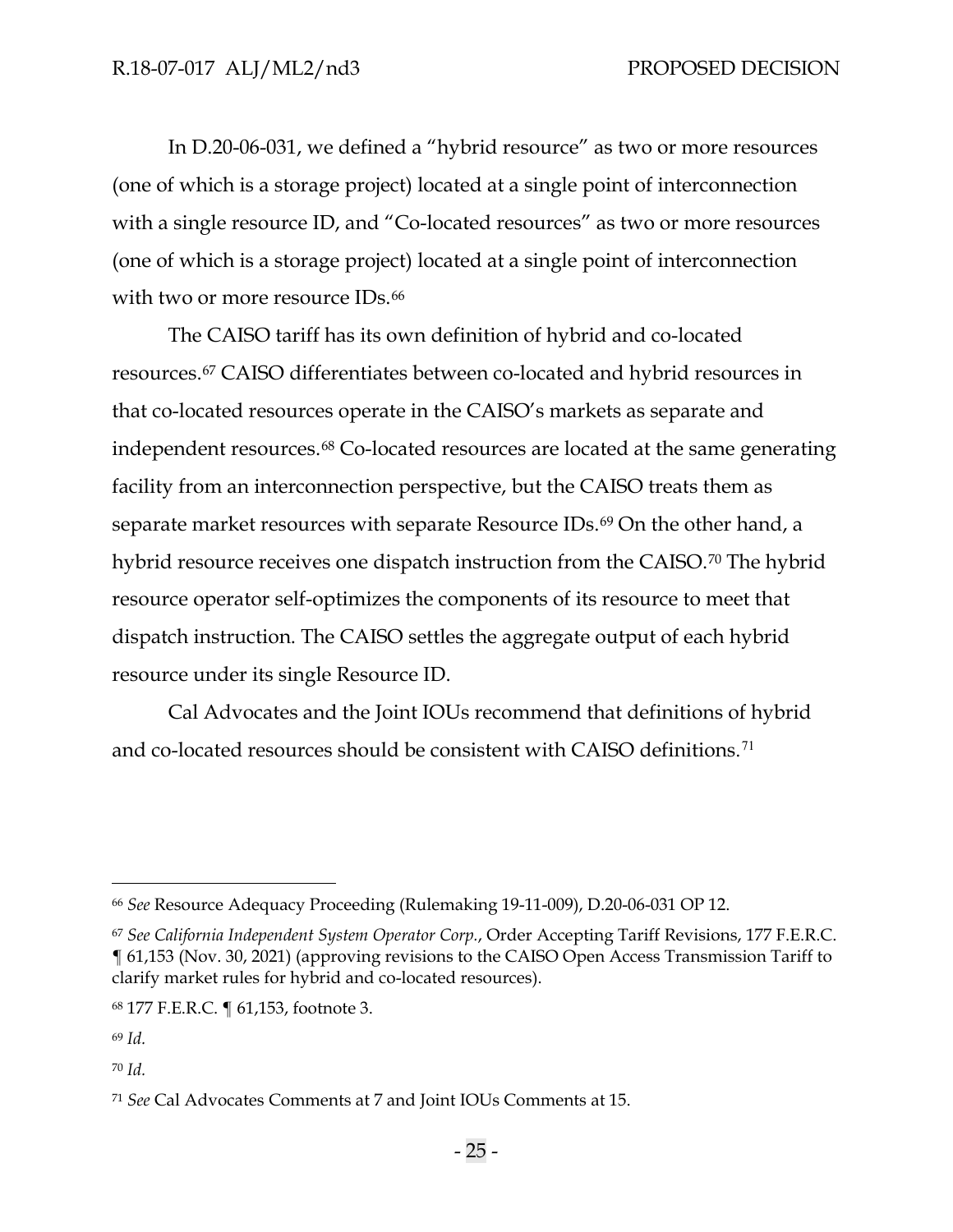In D.20-06-031, we defined a "hybrid resource" as two or more resources (one of which is a storage project) located at a single point of interconnection with a single resource ID, and "Co-located resources" as two or more resources (one of which is a storage project) located at a single point of interconnection with two or more resource IDs.<sup>[66](#page-27-0)</sup>

The CAISO tariff has its own definition of hybrid and co-located resources.[67](#page-27-1) CAISO differentiates between co-located and hybrid resources in that co-located resources operate in the CAISO's markets as separate and independent resources.<sup>[68](#page-27-2)</sup> Co-located resources are located at the same generating facility from an interconnection perspective, but the CAISO treats them as separate market resources with separate Resource IDs.<sup>[69](#page-27-3)</sup> On the other hand, a hybrid resource receives one dispatch instruction from the CAISO.<sup>[70](#page-27-4)</sup> The hybrid resource operator self-optimizes the components of its resource to meet that dispatch instruction. The CAISO settles the aggregate output of each hybrid resource under its single Resource ID.

Cal Advocates and the Joint IOUs recommend that definitions of hybrid and co-located resources should be consistent with CAISO definitions.<sup>[71](#page-27-5)</sup>

<span id="page-27-0"></span><sup>66</sup> *See* Resource Adequacy Proceeding (Rulemaking 19-11-009), D.20-06-031 OP 12.

<span id="page-27-1"></span><sup>67</sup> *See California Independent System Operator Corp.*, Order Accepting Tariff Revisions, 177 F.E.R.C. ¶ 61,153 (Nov. 30, 2021) (approving revisions to the CAISO Open Access Transmission Tariff to clarify market rules for hybrid and co-located resources).

<span id="page-27-2"></span><sup>68</sup> 177 F.E.R.C. ¶ 61,153, footnote 3.

<span id="page-27-3"></span><sup>69</sup> *Id.*

<span id="page-27-4"></span><sup>70</sup> *Id.*

<span id="page-27-5"></span><sup>71</sup> *See* Cal Advocates Comments at 7 and Joint IOUs Comments at 15.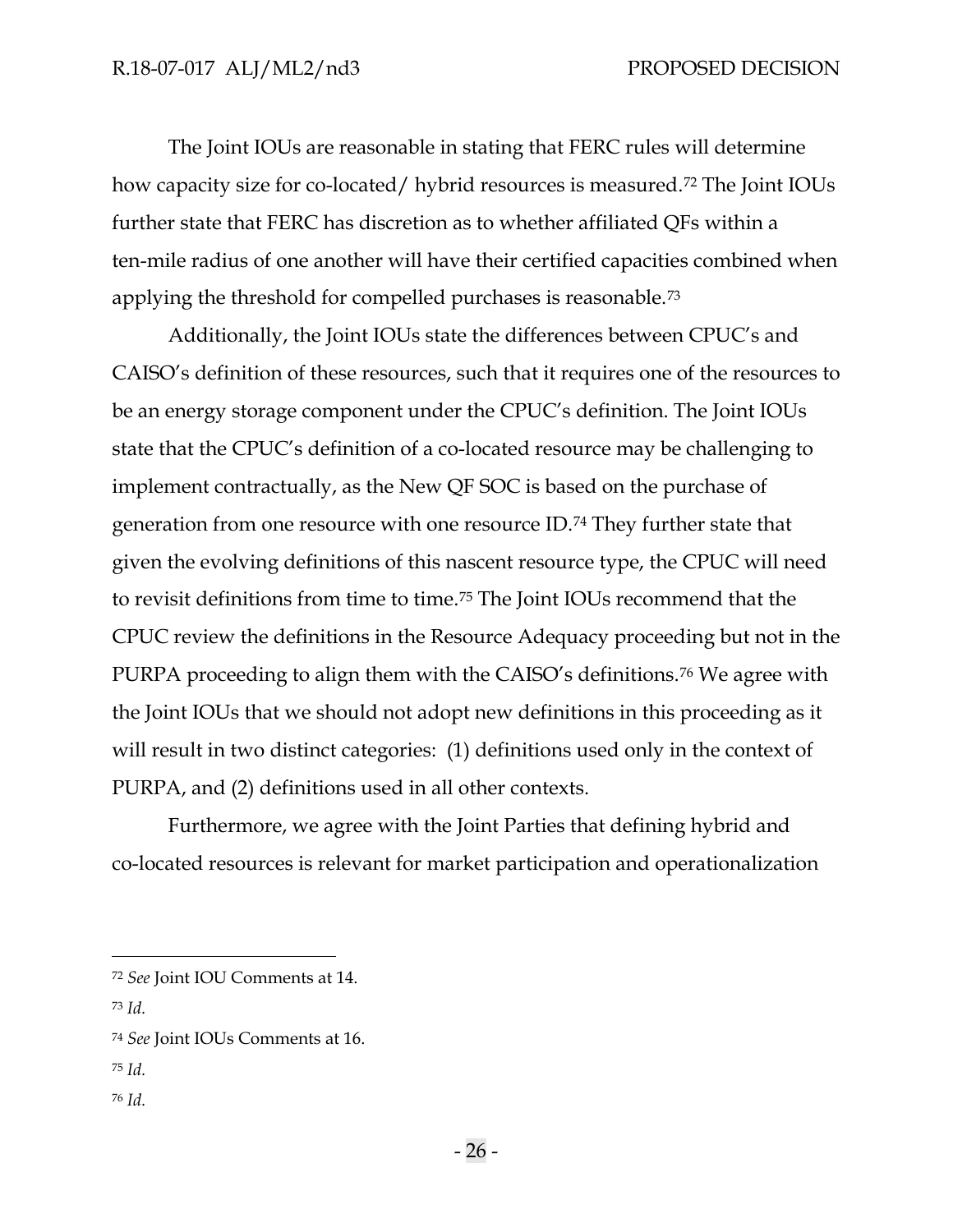The Joint IOUs are reasonable in stating that FERC rules will determine how capacity size for co-located/ hybrid resources is measured.[72](#page-28-0) The Joint IOUs further state that FERC has discretion as to whether affiliated QFs within a ten-mile radius of one another will have their certified capacities combined when applying the threshold for compelled purchases is reasonable.[73](#page-28-1)

Additionally, the Joint IOUs state the differences between CPUC's and CAISO's definition of these resources, such that it requires one of the resources to be an energy storage component under the CPUC's definition. The Joint IOUs state that the CPUC's definition of a co-located resource may be challenging to implement contractually, as the New QF SOC is based on the purchase of generation from one resource with one resource ID.[74](#page-28-2) They further state that given the evolving definitions of this nascent resource type, the CPUC will need to revisit definitions from time to time.[75](#page-28-3) The Joint IOUs recommend that the CPUC review the definitions in the Resource Adequacy proceeding but not in the PURPA proceeding to align them with the CAISO's definitions.[76](#page-28-4) We agree with the Joint IOUs that we should not adopt new definitions in this proceeding as it will result in two distinct categories: (1) definitions used only in the context of PURPA, and (2) definitions used in all other contexts.

Furthermore, we agree with the Joint Parties that defining hybrid and co-located resources is relevant for market participation and operationalization

- <span id="page-28-3"></span><sup>75</sup> *Id.*
- <span id="page-28-4"></span><sup>76</sup> *Id.*

<span id="page-28-0"></span><sup>72</sup> *See* Joint IOU Comments at 14.

<span id="page-28-1"></span><sup>73</sup> *Id.*

<span id="page-28-2"></span><sup>74</sup> *See* Joint IOUs Comments at 16.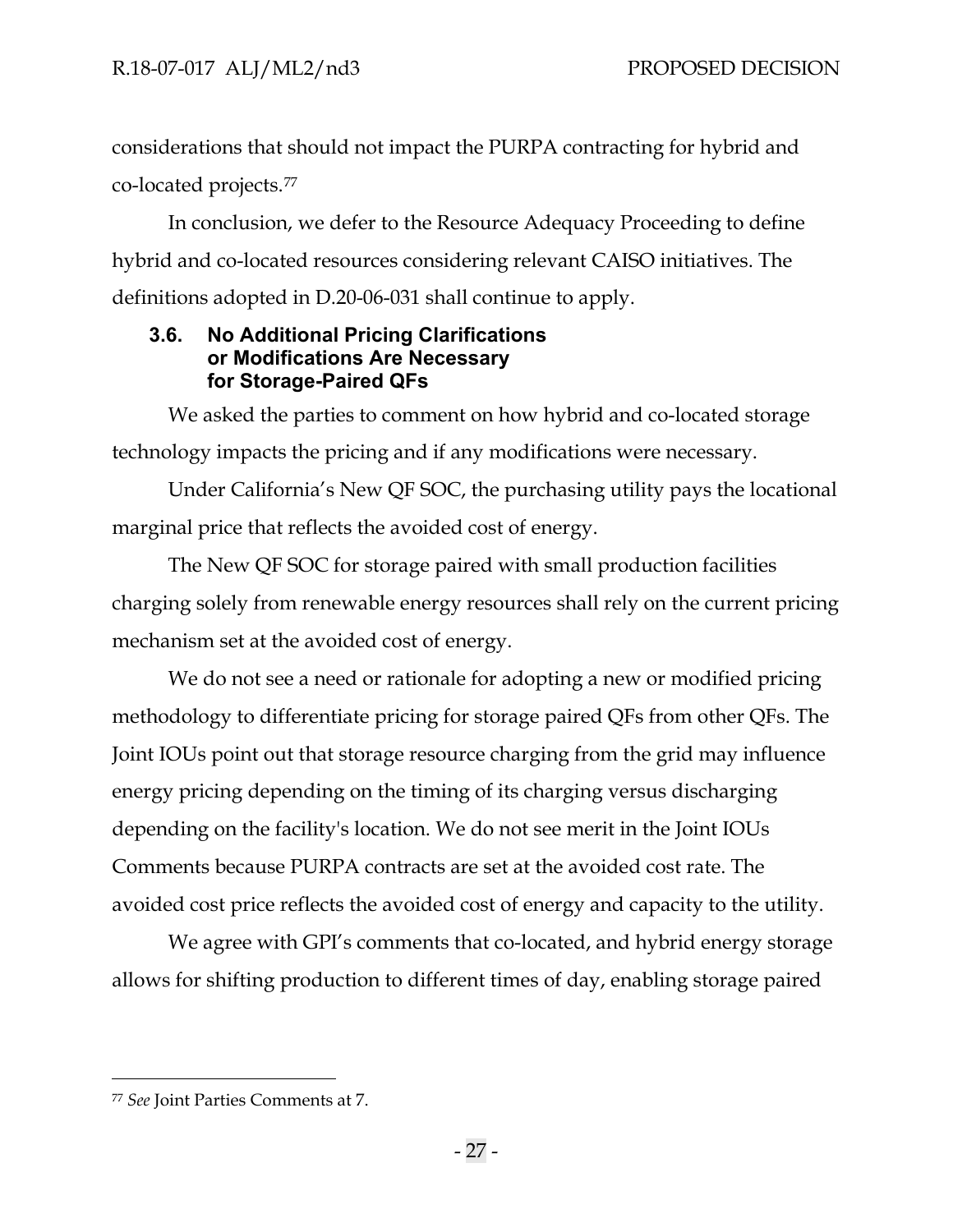considerations that should not impact the PURPA contracting for hybrid and co-located projects.[77](#page-29-1)

In conclusion, we defer to the Resource Adequacy Proceeding to define hybrid and co-located resources considering relevant CAISO initiatives. The definitions adopted in D.20-06-031 shall continue to apply.

## <span id="page-29-0"></span>**3.6. No Additional Pricing Clarifications or Modifications Are Necessary for Storage-Paired QFs**

We asked the parties to comment on how hybrid and co-located storage technology impacts the pricing and if any modifications were necessary.

Under California's New QF SOC, the purchasing utility pays the locational marginal price that reflects the avoided cost of energy.

The New QF SOC for storage paired with small production facilities charging solely from renewable energy resources shall rely on the current pricing mechanism set at the avoided cost of energy.

We do not see a need or rationale for adopting a new or modified pricing methodology to differentiate pricing for storage paired QFs from other QFs. The Joint IOUs point out that storage resource charging from the grid may influence energy pricing depending on the timing of its charging versus discharging depending on the facility's location. We do not see merit in the Joint IOUs Comments because PURPA contracts are set at the avoided cost rate. The avoided cost price reflects the avoided cost of energy and capacity to the utility.

We agree with GPI's comments that co-located, and hybrid energy storage allows for shifting production to different times of day, enabling storage paired

<span id="page-29-1"></span><sup>77</sup> *See* Joint Parties Comments at 7.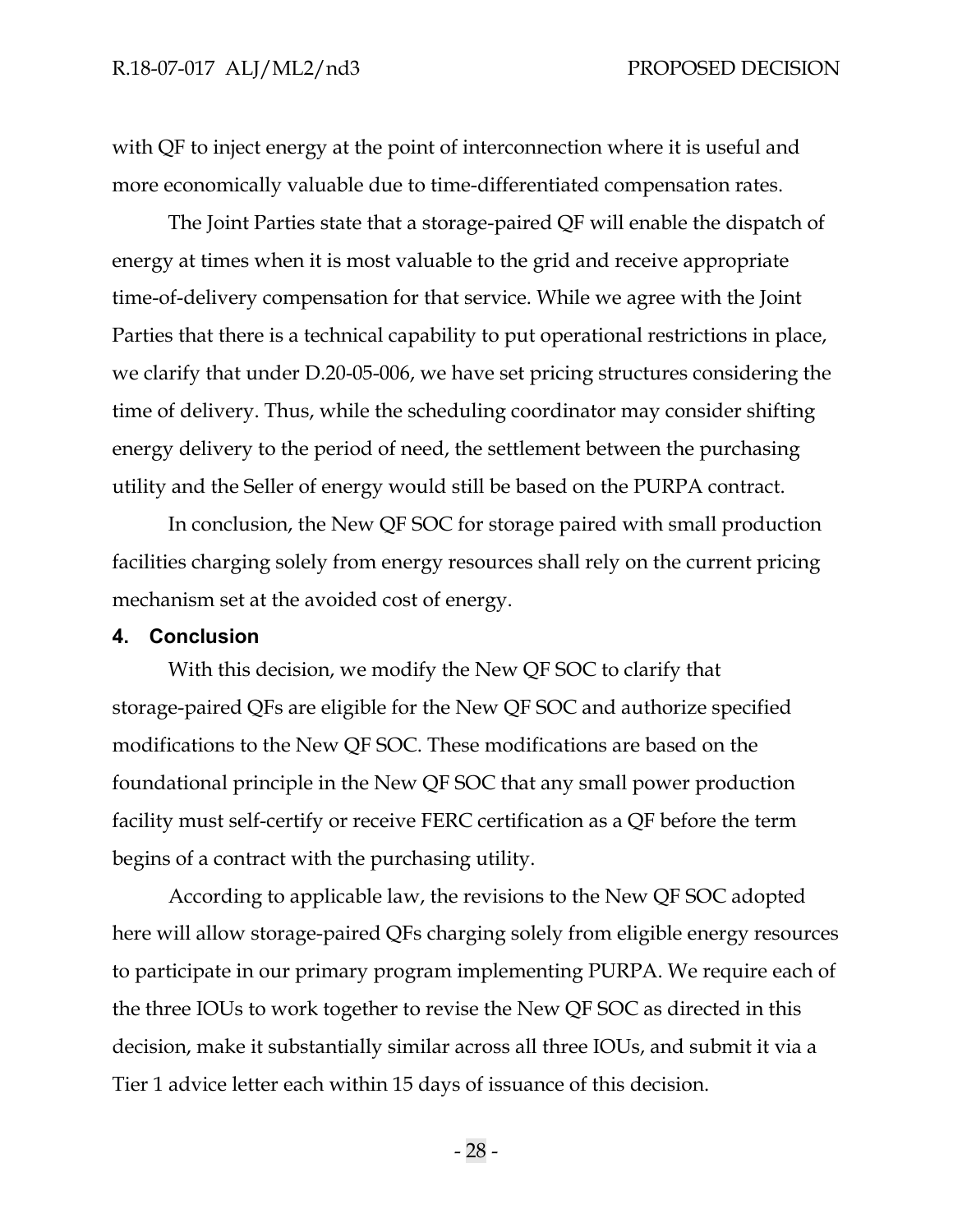with QF to inject energy at the point of interconnection where it is useful and more economically valuable due to time-differentiated compensation rates.

The Joint Parties state that a storage-paired QF will enable the dispatch of energy at times when it is most valuable to the grid and receive appropriate time-of-delivery compensation for that service. While we agree with the Joint Parties that there is a technical capability to put operational restrictions in place, we clarify that under D.20-05-006, we have set pricing structures considering the time of delivery. Thus, while the scheduling coordinator may consider shifting energy delivery to the period of need, the settlement between the purchasing utility and the Seller of energy would still be based on the PURPA contract.

In conclusion, the New QF SOC for storage paired with small production facilities charging solely from energy resources shall rely on the current pricing mechanism set at the avoided cost of energy.

#### <span id="page-30-0"></span>**4. Conclusion**

With this decision, we modify the New QF SOC to clarify that storage-paired QFs are eligible for the New QF SOC and authorize specified modifications to the New QF SOC. These modifications are based on the foundational principle in the New QF SOC that any small power production facility must self-certify or receive FERC certification as a QF before the term begins of a contract with the purchasing utility.

According to applicable law, the revisions to the New QF SOC adopted here will allow storage-paired QFs charging solely from eligible energy resources to participate in our primary program implementing PURPA. We require each of the three IOUs to work together to revise the New QF SOC as directed in this decision, make it substantially similar across all three IOUs, and submit it via a Tier 1 advice letter each within 15 days of issuance of this decision.

- 28 -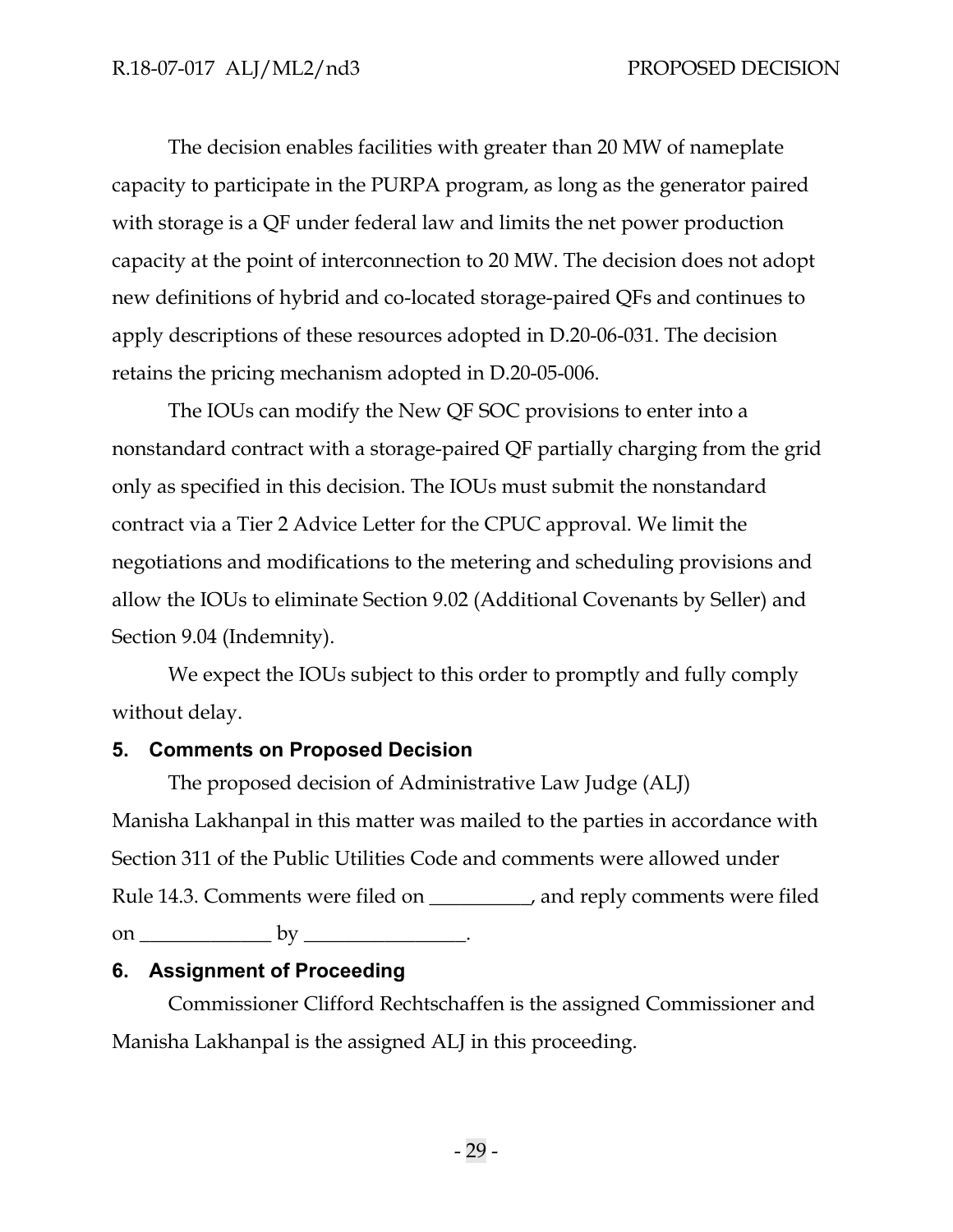The decision enables facilities with greater than 20 MW of nameplate capacity to participate in the PURPA program, as long as the generator paired with storage is a QF under federal law and limits the net power production capacity at the point of interconnection to 20 MW. The decision does not adopt new definitions of hybrid and co-located storage-paired QFs and continues to apply descriptions of these resources adopted in D.20-06-031. The decision retains the pricing mechanism adopted in D.20-05-006.

The IOUs can modify the New QF SOC provisions to enter into a nonstandard contract with a storage-paired QF partially charging from the grid only as specified in this decision. The IOUs must submit the nonstandard contract via a Tier 2 Advice Letter for the CPUC approval. We limit the negotiations and modifications to the metering and scheduling provisions and allow the IOUs to eliminate Section 9.02 (Additional Covenants by Seller) and Section 9.04 (Indemnity).

We expect the IOUs subject to this order to promptly and fully comply without delay.

## <span id="page-31-0"></span>**5. Comments on Proposed Decision**

The proposed decision of Administrative Law Judge (ALJ) Manisha Lakhanpal in this matter was mailed to the parties in accordance with Section 311 of the Public Utilities Code and comments were allowed under Rule 14.3. Comments were filed on \_\_\_\_\_\_\_\_\_\_, and reply comments were filed on \_\_\_\_\_\_\_\_\_\_\_\_\_ by \_\_\_\_\_\_\_\_\_\_\_\_\_\_\_\_.

# <span id="page-31-1"></span>**6. Assignment of Proceeding**

Commissioner Clifford Rechtschaffen is the assigned Commissioner and Manisha Lakhanpal is the assigned ALJ in this proceeding.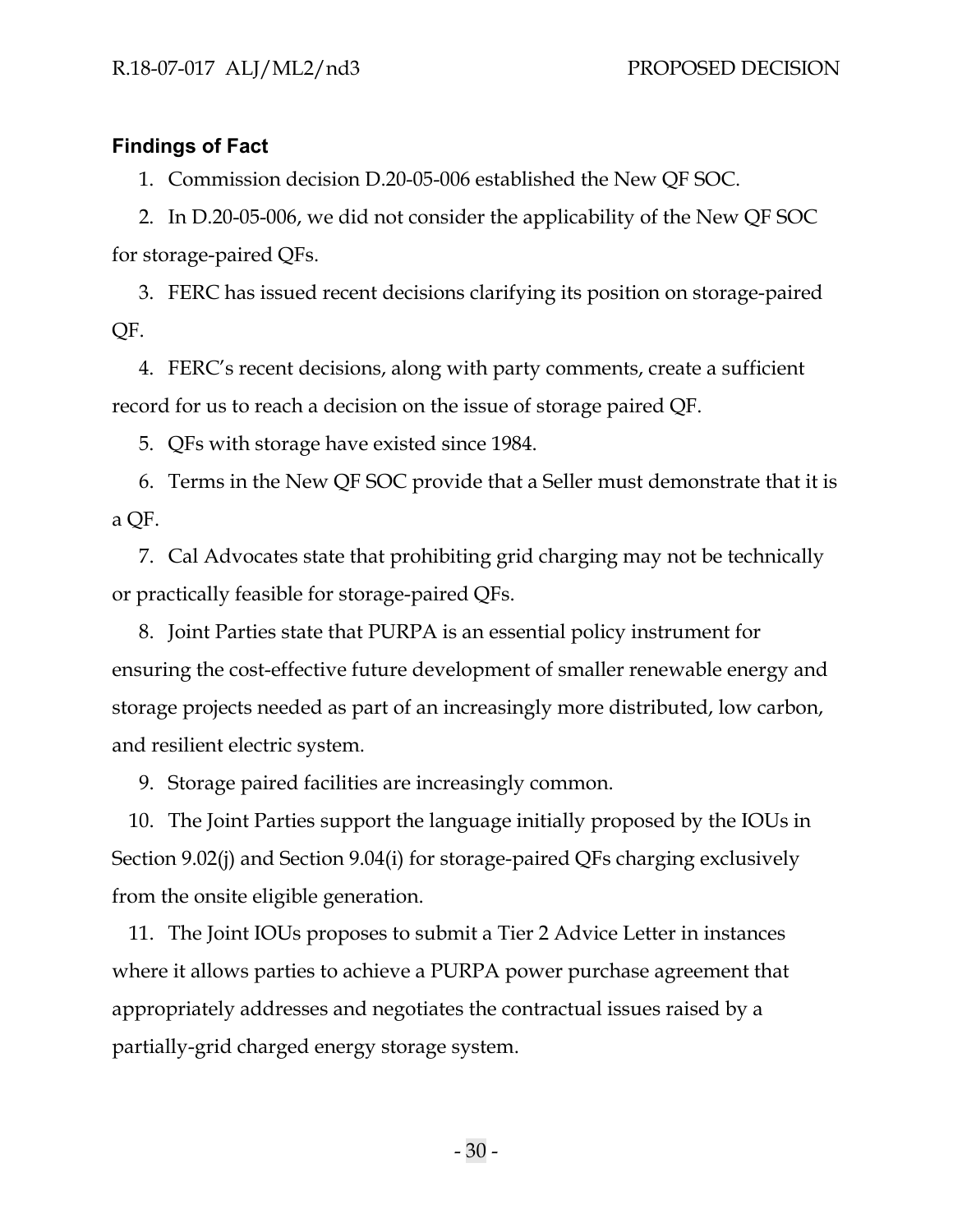#### <span id="page-32-0"></span>**Findings of Fact**

1. Commission decision D.20-05-006 established the New QF SOC.

2. In D.20-05-006, we did not consider the applicability of the New QF SOC for storage-paired QFs.

3. FERC has issued recent decisions clarifying its position on storage-paired QF.

4. FERC's recent decisions, along with party comments, create a sufficient record for us to reach a decision on the issue of storage paired QF.

5. QFs with storage have existed since 1984.

6. Terms in the New QF SOC provide that a Seller must demonstrate that it is a QF.

7. Cal Advocates state that prohibiting grid charging may not be technically or practically feasible for storage-paired QFs.

8. Joint Parties state that PURPA is an essential policy instrument for ensuring the cost-effective future development of smaller renewable energy and storage projects needed as part of an increasingly more distributed, low carbon, and resilient electric system.

9. Storage paired facilities are increasingly common.

10. The Joint Parties support the language initially proposed by the IOUs in Section 9.02(j) and Section 9.04(i) for storage-paired QFs charging exclusively from the onsite eligible generation.

11. The Joint IOUs proposes to submit a Tier 2 Advice Letter in instances where it allows parties to achieve a PURPA power purchase agreement that appropriately addresses and negotiates the contractual issues raised by a partially-grid charged energy storage system.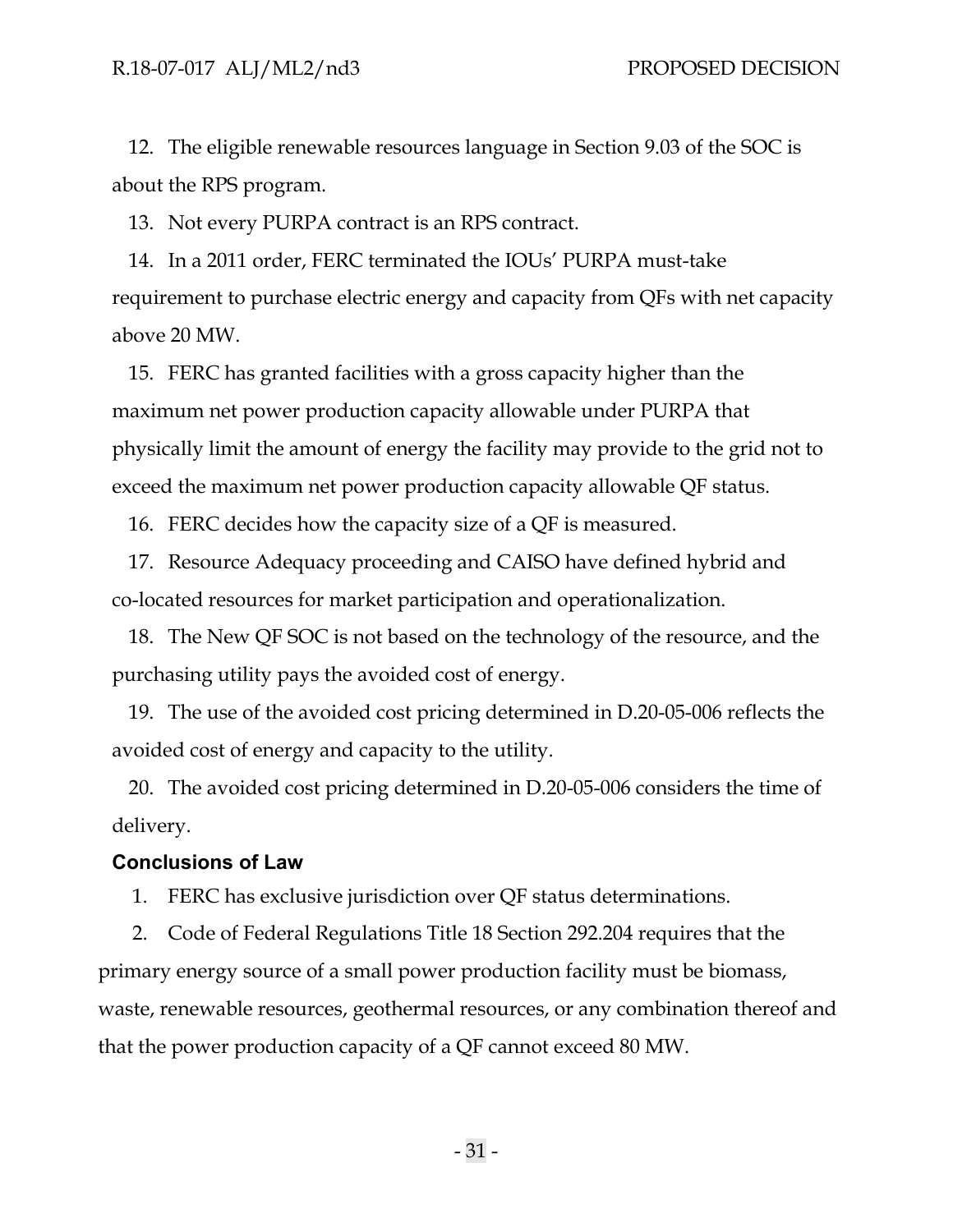12. The eligible renewable resources language in Section 9.03 of the SOC is about the RPS program.

13. Not every PURPA contract is an RPS contract.

14. In a 2011 order, FERC terminated the IOUs' PURPA must-take requirement to purchase electric energy and capacity from QFs with net capacity above 20 MW.

15. FERC has granted facilities with a gross capacity higher than the maximum net power production capacity allowable under PURPA that physically limit the amount of energy the facility may provide to the grid not to exceed the maximum net power production capacity allowable QF status.

16. FERC decides how the capacity size of a QF is measured.

17. Resource Adequacy proceeding and CAISO have defined hybrid and co-located resources for market participation and operationalization.

18. The New QF SOC is not based on the technology of the resource, and the purchasing utility pays the avoided cost of energy.

19. The use of the avoided cost pricing determined in D.20-05-006 reflects the avoided cost of energy and capacity to the utility.

20. The avoided cost pricing determined in D.20-05-006 considers the time of delivery.

#### <span id="page-33-0"></span>**Conclusions of Law**

1. FERC has exclusive jurisdiction over QF status determinations.

2. Code of Federal Regulations Title 18 Section 292.204 requires that the primary energy source of a small power production facility must be biomass, waste, renewable resources, geothermal resources, or any combination thereof and that the power production capacity of a QF cannot exceed 80 MW.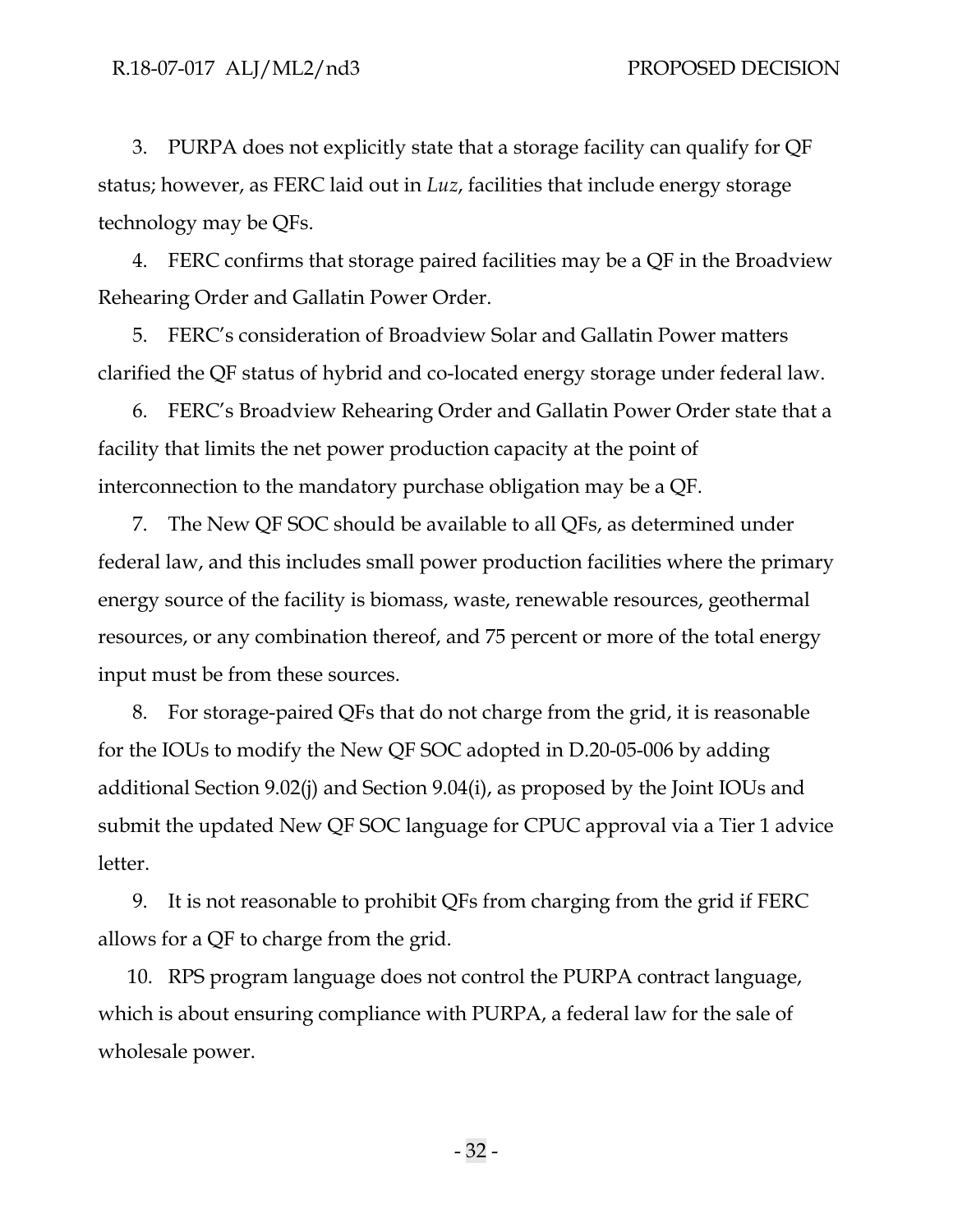3. PURPA does not explicitly state that a storage facility can qualify for QF status; however, as FERC laid out in *Luz*, facilities that include energy storage technology may be QFs.

4. FERC confirms that storage paired facilities may be a QF in the Broadview Rehearing Order and Gallatin Power Order.

5. FERC's consideration of Broadview Solar and Gallatin Power matters clarified the QF status of hybrid and co-located energy storage under federal law.

6. FERC's Broadview Rehearing Order and Gallatin Power Order state that a facility that limits the net power production capacity at the point of interconnection to the mandatory purchase obligation may be a QF.

7. The New QF SOC should be available to all QFs, as determined under federal law, and this includes small power production facilities where the primary energy source of the facility is biomass, waste, renewable resources, geothermal resources, or any combination thereof, and 75 percent or more of the total energy input must be from these sources.

8. For storage-paired QFs that do not charge from the grid, it is reasonable for the IOUs to modify the New QF SOC adopted in D.20-05-006 by adding additional Section 9.02(j) and Section 9.04(i), as proposed by the Joint IOUs and submit the updated New QF SOC language for CPUC approval via a Tier 1 advice letter.

9. It is not reasonable to prohibit QFs from charging from the grid if FERC allows for a QF to charge from the grid.

10. RPS program language does not control the PURPA contract language, which is about ensuring compliance with PURPA, a federal law for the sale of wholesale power.

- 32 -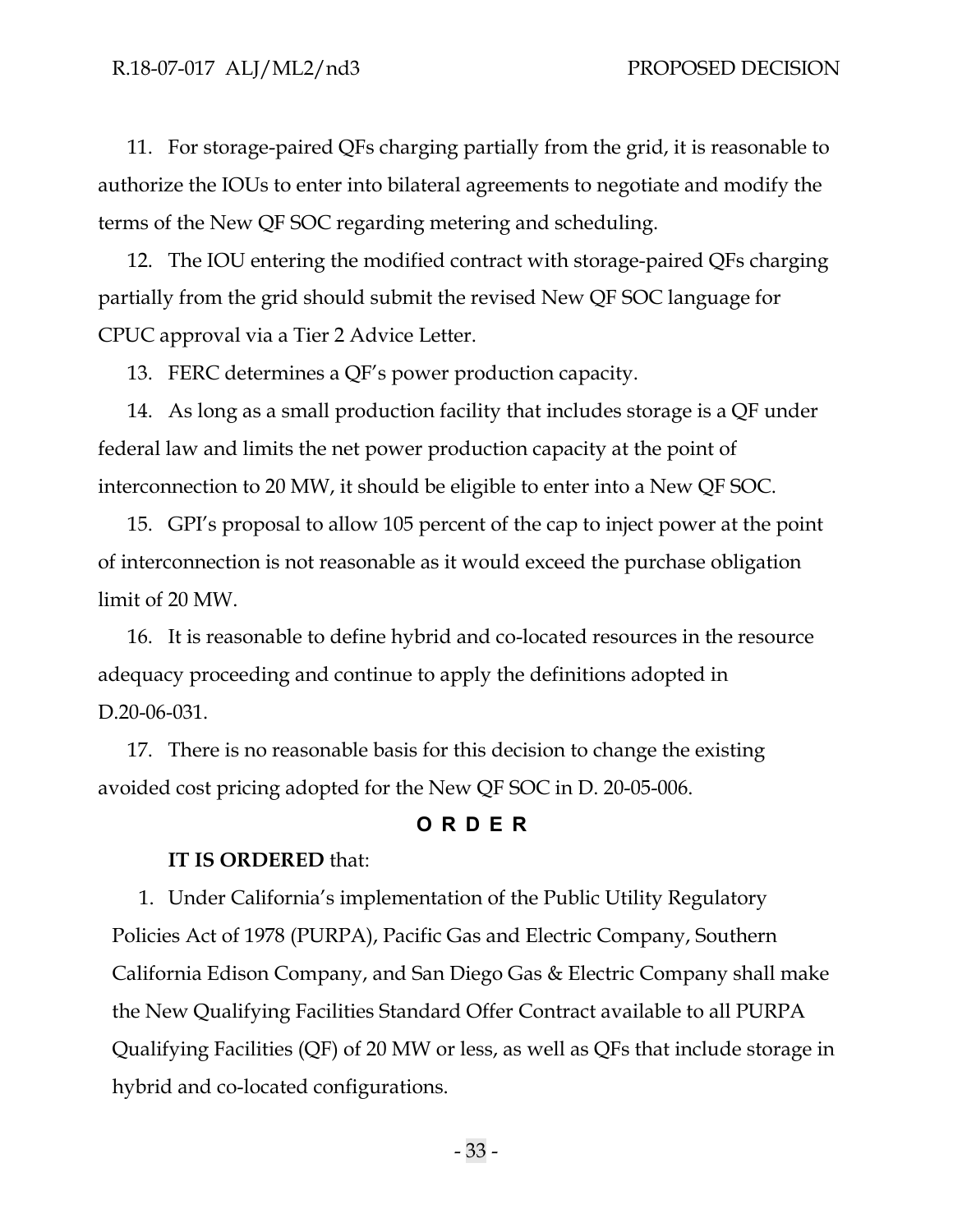11. For storage-paired QFs charging partially from the grid, it is reasonable to authorize the IOUs to enter into bilateral agreements to negotiate and modify the terms of the New QF SOC regarding metering and scheduling.

12. The IOU entering the modified contract with storage-paired QFs charging partially from the grid should submit the revised New QF SOC language for CPUC approval via a Tier 2 Advice Letter.

13. FERC determines a QF's power production capacity.

14. As long as a small production facility that includes storage is a QF under federal law and limits the net power production capacity at the point of interconnection to 20 MW, it should be eligible to enter into a New QF SOC.

15. GPI's proposal to allow 105 percent of the cap to inject power at the point of interconnection is not reasonable as it would exceed the purchase obligation limit of 20 MW.

16. It is reasonable to define hybrid and co-located resources in the resource adequacy proceeding and continue to apply the definitions adopted in D.20-06-031.

17. There is no reasonable basis for this decision to change the existing avoided cost pricing adopted for the New QF SOC in D. 20-05-006.

## **O RDER**

#### <span id="page-35-0"></span>**IT IS ORDERED** that:

1. Under California's implementation of the Public Utility Regulatory Policies Act of 1978 (PURPA), Pacific Gas and Electric Company, Southern California Edison Company, and San Diego Gas & Electric Company shall make the New Qualifying Facilities Standard Offer Contract available to all PURPA Qualifying Facilities (QF) of 20 MW or less, as well as QFs that include storage in hybrid and co-located configurations.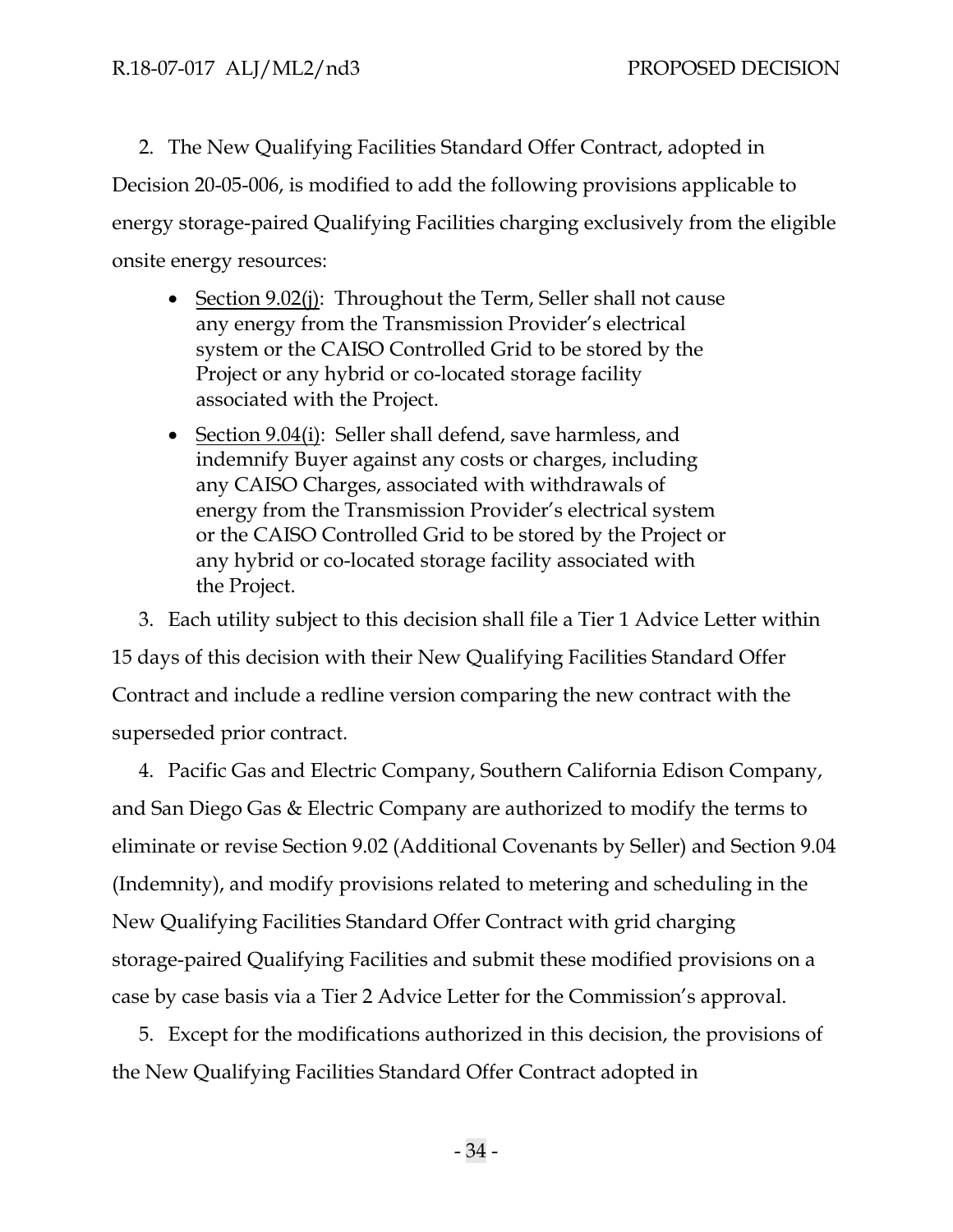2. The New Qualifying Facilities Standard Offer Contract, adopted in Decision 20-05-006, is modified to add the following provisions applicable to energy storage-paired Qualifying Facilities charging exclusively from the eligible onsite energy resources:

- Section 9.02(j): Throughout the Term, Seller shall not cause any energy from the Transmission Provider's electrical system or the CAISO Controlled Grid to be stored by the Project or any hybrid or co-located storage facility associated with the Project.
- Section 9.04(i): Seller shall defend, save harmless, and indemnify Buyer against any costs or charges, including any CAISO Charges, associated with withdrawals of energy from the Transmission Provider's electrical system or the CAISO Controlled Grid to be stored by the Project or any hybrid or co-located storage facility associated with the Project.

3. Each utility subject to this decision shall file a Tier 1 Advice Letter within 15 days of this decision with their New Qualifying Facilities Standard Offer Contract and include a redline version comparing the new contract with the superseded prior contract.

4. Pacific Gas and Electric Company, Southern California Edison Company, and San Diego Gas & Electric Company are authorized to modify the terms to eliminate or revise Section 9.02 (Additional Covenants by Seller) and Section 9.04 (Indemnity), and modify provisions related to metering and scheduling in the New Qualifying Facilities Standard Offer Contract with grid charging storage-paired Qualifying Facilities and submit these modified provisions on a case by case basis via a Tier 2 Advice Letter for the Commission's approval.

5. Except for the modifications authorized in this decision, the provisions of the New Qualifying Facilities Standard Offer Contract adopted in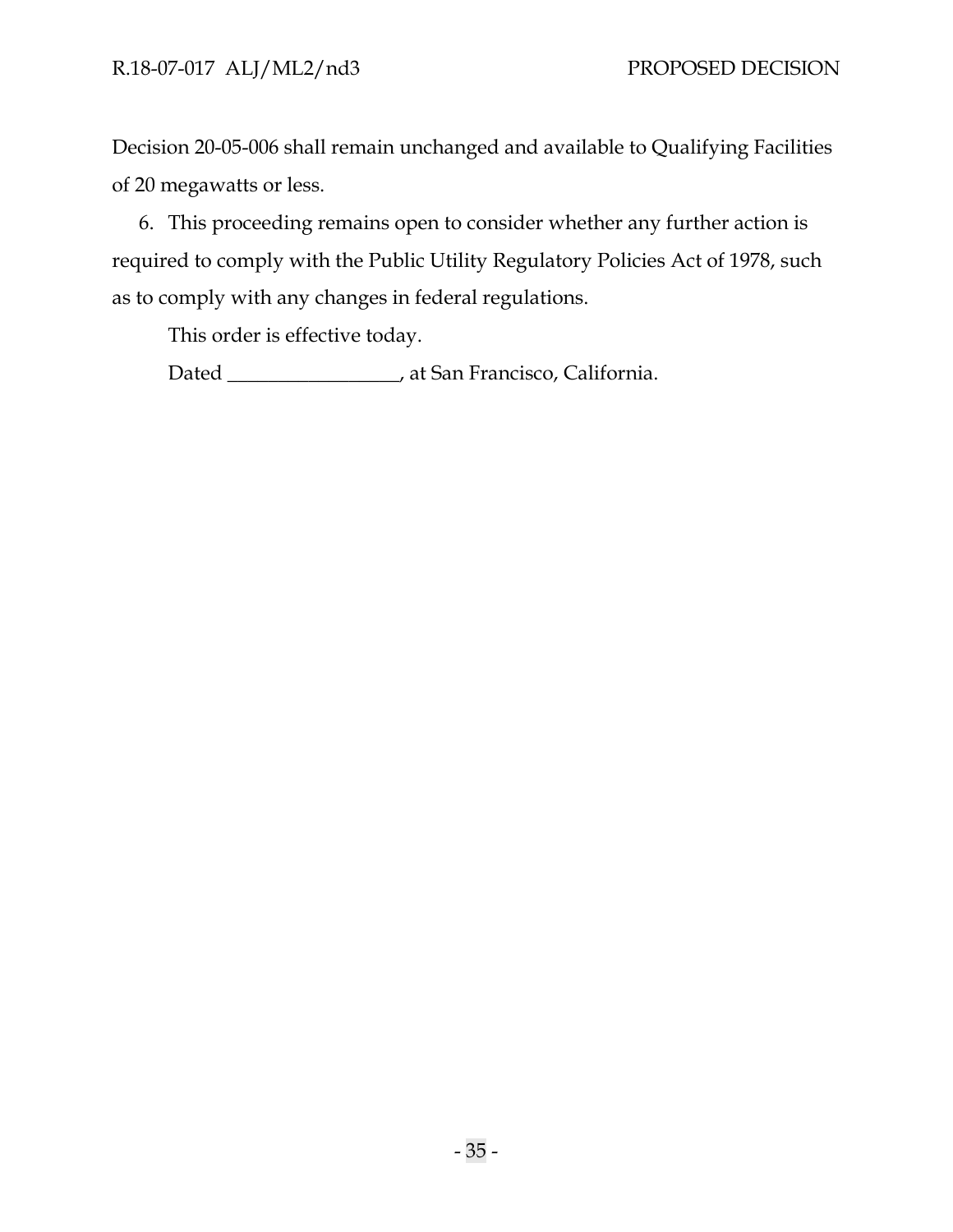Decision 20-05-006 shall remain unchanged and available to Qualifying Facilities of 20 megawatts or less.

6. This proceeding remains open to consider whether any further action is required to comply with the Public Utility Regulatory Policies Act of 1978, such as to comply with any changes in federal regulations.

This order is effective today.

Dated \_\_\_\_\_\_\_\_\_\_\_\_\_\_\_\_\_, at San Francisco, California.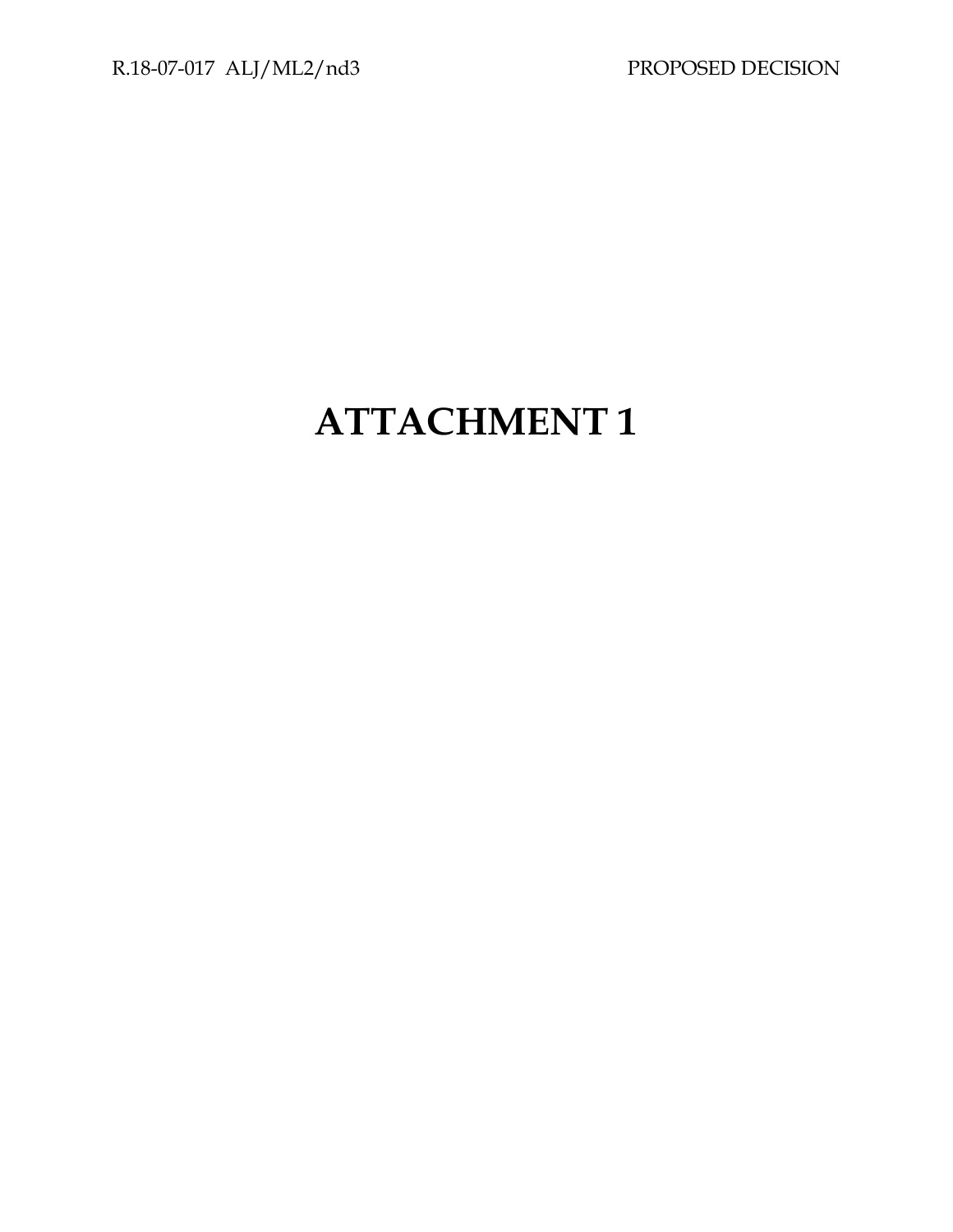# **ATTACHMENT 1**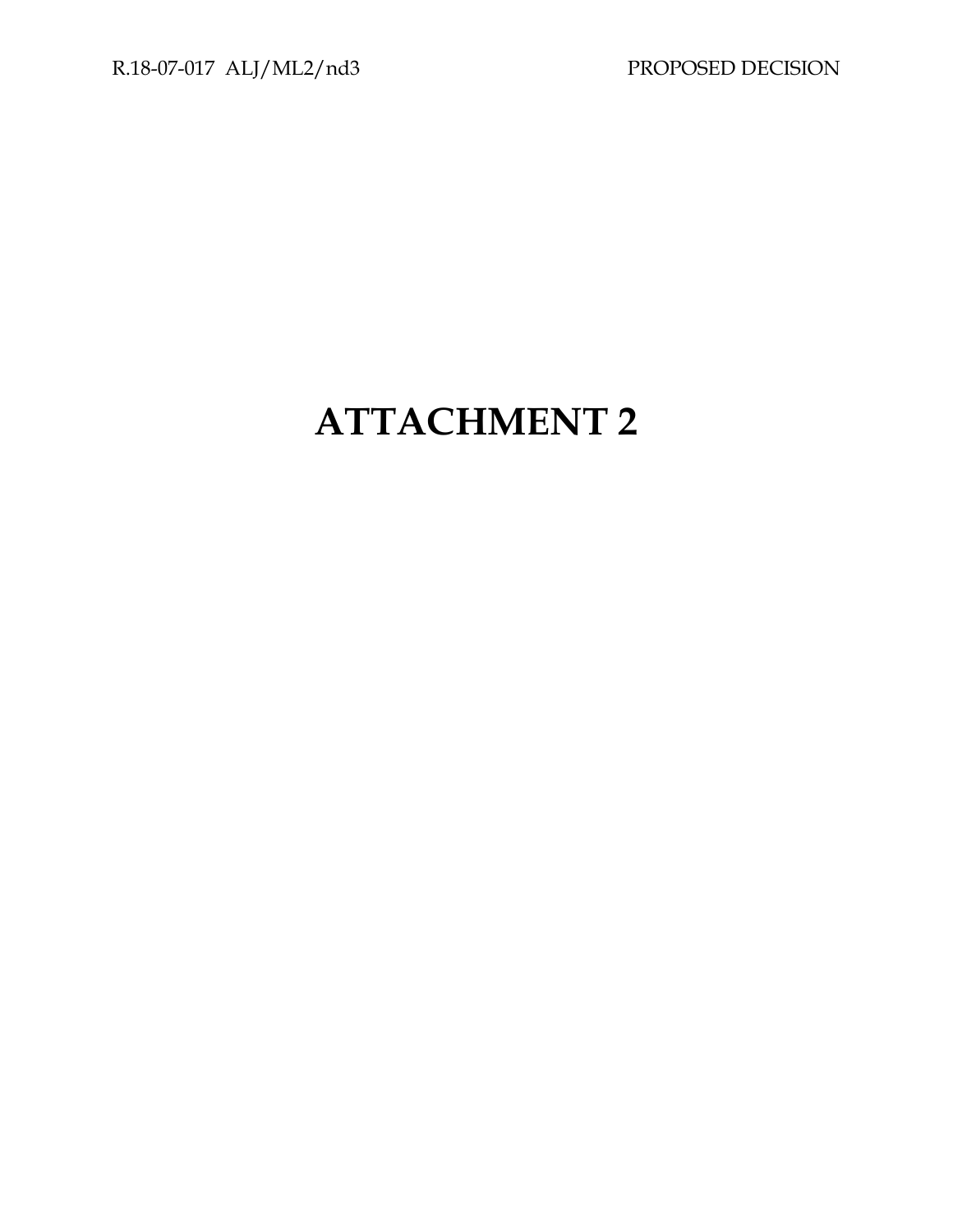# **ATTACHMENT 2**